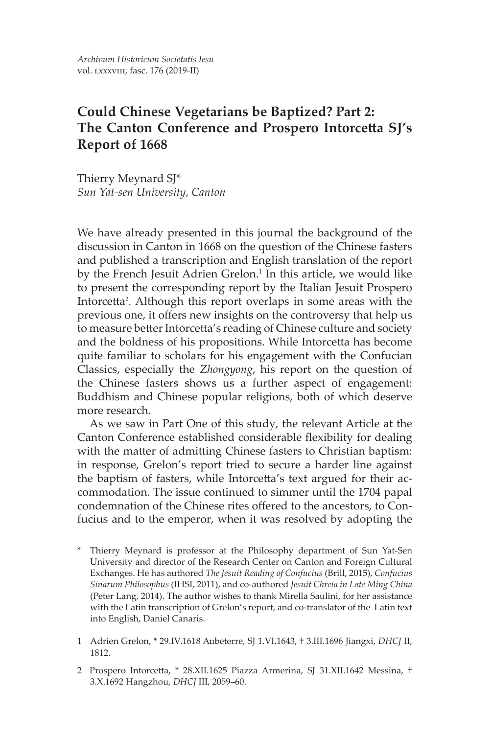# **Could Chinese Vegetarians be Baptized? Part 2: The Canton Conference and Prospero Intorcetta SJ's Report of 1668**

Thierry Meynard SJ\* *Sun Yat-sen University, Canton*

We have already presented in this journal the background of the discussion in Canton in 1668 on the question of the Chinese fasters and published a transcription and English translation of the report by the French Jesuit Adrien Grelon.<sup>1</sup> In this article, we would like to present the corresponding report by the Italian Jesuit Prospero Intorcetta<sup>2</sup> . Although this report overlaps in some areas with the previous one, it offers new insights on the controversy that help us to measure better Intorcetta's reading of Chinese culture and society and the boldness of his propositions. While Intorcetta has become quite familiar to scholars for his engagement with the Confucian Classics, especially the *Zhongyong*, his report on the question of the Chinese fasters shows us a further aspect of engagement: Buddhism and Chinese popular religions, both of which deserve more research.

As we saw in Part One of this study, the relevant Article at the Canton Conference established considerable flexibility for dealing with the matter of admitting Chinese fasters to Christian baptism: in response, Grelon's report tried to secure a harder line against the baptism of fasters, while Intorcetta's text argued for their accommodation. The issue continued to simmer until the 1704 papal condemnation of the Chinese rites offered to the ancestors, to Confucius and to the emperor, when it was resolved by adopting the

- \* Thierry Meynard is professor at the Philosophy department of Sun Yat-Sen University and director of the Research Center on Canton and Foreign Cultural Exchanges. He has authored *The Jesuit Reading of Confucius* (Brill, 2015), *Confucius Sinarum Philosophus* (IHSI, 2011), and co-authored *Jesuit Chreia in Late Ming China* (Peter Lang, 2014). The author wishes to thank Mirella Saulini, for her assistance with the Latin transcription of Grelon's report, and co-translator of the Latin text into English, Daniel Canaris.
- 1 Adrien Grelon, \* 29.IV.1618 Aubeterre, SJ 1.VI.1643, † 3.III.1696 Jiangxi, *DHCJ* II, 1812.
- 2 Prospero Intorcetta, \* 28.XII.1625 Piazza Armerina, SJ 31.XII.1642 Messina, † 3.X.1692 Hangzhou, *DHCJ* III, 2059–60.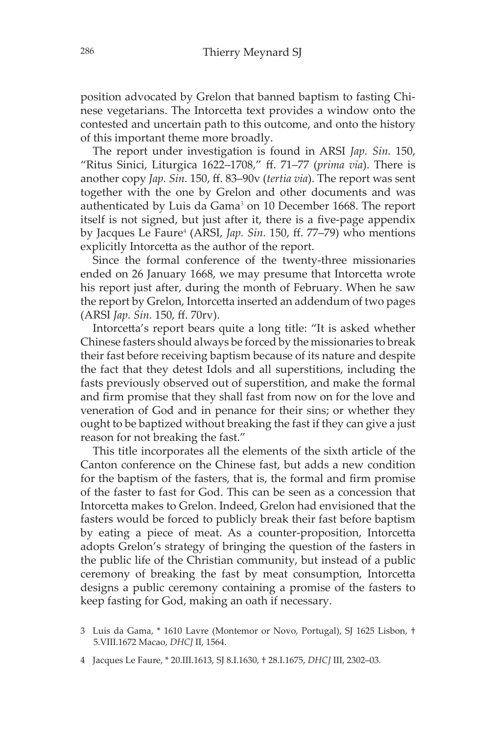position advocated by Grelon that banned baptism to fasting Chinese vegetarians. The Intorcetta text provides a window onto the contested and uncertain path to this outcome, and onto the history of this important theme more broadly.

The report under investigation is found in ARSI *Jap. Sin.* 150, "Ritus Sinici, Liturgica 1622–1708," ff. 71–77 (*prima via*). There is another copy *Jap. Sin.* 150, ff. 83–90v (*tertia via*). The report was sent together with the one by Grelon and other documents and was authenticated by Luis da Gama<sup>3</sup> on 10 December 1668. The report itself is not signed, but just after it, there is a five-page appendix by Jacques Le Faure<sup>4</sup> (ARSI, *Jap. Sin.* 150, ff. 77–79) who mentions explicitly Intorcetta as the author of the report.

Since the formal conference of the twenty-three missionaries ended on 26 January 1668, we may presume that Intorcetta wrote his report just after, during the month of February. When he saw the report by Grelon, Intorcetta inserted an addendum of two pages (ARSI *Jap. Sin.* 150, ff. 70rv).

Intorcetta's report bears quite a long title: "It is asked whether Chinese fasters should always be forced by the missionaries to break their fast before receiving baptism because of its nature and despite the fact that they detest Idols and all superstitions, including the fasts previously observed out of superstition, and make the formal and firm promise that they shall fast from now on for the love and veneration of God and in penance for their sins; or whether they ought to be baptized without breaking the fast if they can give a just reason for not breaking the fast."

This title incorporates all the elements of the sixth article of the Canton conference on the Chinese fast, but adds a new condition for the baptism of the fasters, that is, the formal and firm promise of the faster to fast for God. This can be seen as a concession that Intorcetta makes to Grelon. Indeed, Grelon had envisioned that the fasters would be forced to publicly break their fast before baptism by eating a piece of meat. As a counter-proposition, Intorcetta adopts Grelon's strategy of bringing the question of the fasters in the public life of the Christian community, but instead of a public ceremony of breaking the fast by meat consumption, Intorcetta designs a public ceremony containing a promise of the fasters to keep fasting for God, making an oath if necessary.

<sup>3</sup> Luis da Gama, \* 1610 Lavre (Montemor or Novo, Portugal), SJ 1625 Lisbon, † 5.VIII.1672 Macao, *DHCJ* II, 1564.

<sup>4</sup> Jacques Le Faure, \* 20.III.1613, SJ 8.I.1630, † 28.I.1675, *DHCJ* III, 2302–03.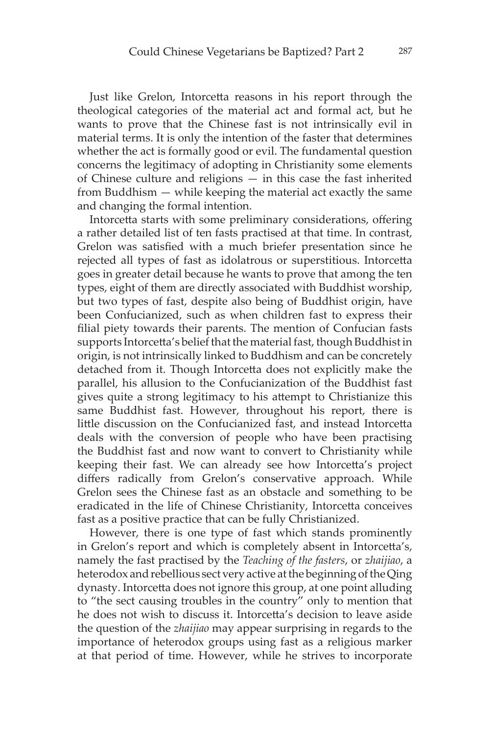Just like Grelon, Intorcetta reasons in his report through the theological categories of the material act and formal act, but he wants to prove that the Chinese fast is not intrinsically evil in material terms. It is only the intention of the faster that determines whether the act is formally good or evil. The fundamental question concerns the legitimacy of adopting in Christianity some elements of Chinese culture and religions — in this case the fast inherited from Buddhism — while keeping the material act exactly the same and changing the formal intention.

Intorcetta starts with some preliminary considerations, offering a rather detailed list of ten fasts practised at that time. In contrast, Grelon was satisfied with a much briefer presentation since he rejected all types of fast as idolatrous or superstitious. Intorcetta goes in greater detail because he wants to prove that among the ten types, eight of them are directly associated with Buddhist worship, but two types of fast, despite also being of Buddhist origin, have been Confucianized, such as when children fast to express their filial piety towards their parents. The mention of Confucian fasts supports Intorcetta's belief that the material fast, though Buddhist in origin, is not intrinsically linked to Buddhism and can be concretely detached from it. Though Intorcetta does not explicitly make the parallel, his allusion to the Confucianization of the Buddhist fast gives quite a strong legitimacy to his attempt to Christianize this same Buddhist fast. However, throughout his report, there is little discussion on the Confucianized fast, and instead Intorcetta deals with the conversion of people who have been practising the Buddhist fast and now want to convert to Christianity while keeping their fast. We can already see how Intorcetta's project differs radically from Grelon's conservative approach. While Grelon sees the Chinese fast as an obstacle and something to be eradicated in the life of Chinese Christianity, Intorcetta conceives fast as a positive practice that can be fully Christianized.

However, there is one type of fast which stands prominently in Grelon's report and which is completely absent in Intorcetta's, namely the fast practised by the *Teaching of the fasters*, or *zhaijiao*, a heterodox and rebellious sect very active at the beginning of the Qing dynasty. Intorcetta does not ignore this group, at one point alluding to "the sect causing troubles in the country" only to mention that he does not wish to discuss it. Intorcetta's decision to leave aside the question of the *zhaijiao* may appear surprising in regards to the importance of heterodox groups using fast as a religious marker at that period of time. However, while he strives to incorporate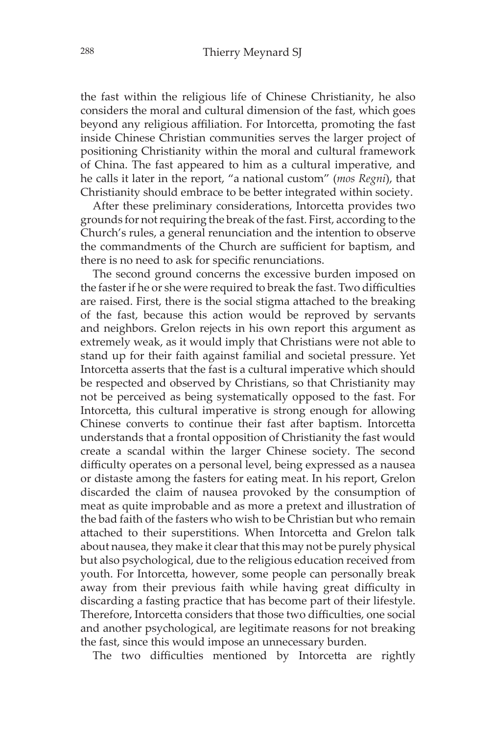the fast within the religious life of Chinese Christianity, he also considers the moral and cultural dimension of the fast, which goes beyond any religious affiliation. For Intorcetta, promoting the fast inside Chinese Christian communities serves the larger project of positioning Christianity within the moral and cultural framework of China. The fast appeared to him as a cultural imperative, and he calls it later in the report, "a national custom" (*mos Regni*), that Christianity should embrace to be better integrated within society.

After these preliminary considerations, Intorcetta provides two grounds for not requiring the break of the fast. First, according to the Church's rules, a general renunciation and the intention to observe the commandments of the Church are sufficient for baptism, and there is no need to ask for specific renunciations.

The second ground concerns the excessive burden imposed on the faster if he or she were required to break the fast. Two difficulties are raised. First, there is the social stigma attached to the breaking of the fast, because this action would be reproved by servants and neighbors. Grelon rejects in his own report this argument as extremely weak, as it would imply that Christians were not able to stand up for their faith against familial and societal pressure. Yet Intorcetta asserts that the fast is a cultural imperative which should be respected and observed by Christians, so that Christianity may not be perceived as being systematically opposed to the fast. For Intorcetta, this cultural imperative is strong enough for allowing Chinese converts to continue their fast after baptism. Intorcetta understands that a frontal opposition of Christianity the fast would create a scandal within the larger Chinese society. The second difficulty operates on a personal level, being expressed as a nausea or distaste among the fasters for eating meat. In his report, Grelon discarded the claim of nausea provoked by the consumption of meat as quite improbable and as more a pretext and illustration of the bad faith of the fasters who wish to be Christian but who remain attached to their superstitions. When Intorcetta and Grelon talk about nausea, they make it clear that this may not be purely physical but also psychological, due to the religious education received from youth. For Intorcetta, however, some people can personally break away from their previous faith while having great difficulty in discarding a fasting practice that has become part of their lifestyle. Therefore, Intorcetta considers that those two difficulties, one social and another psychological, are legitimate reasons for not breaking the fast, since this would impose an unnecessary burden.

The two difficulties mentioned by Intorcetta are rightly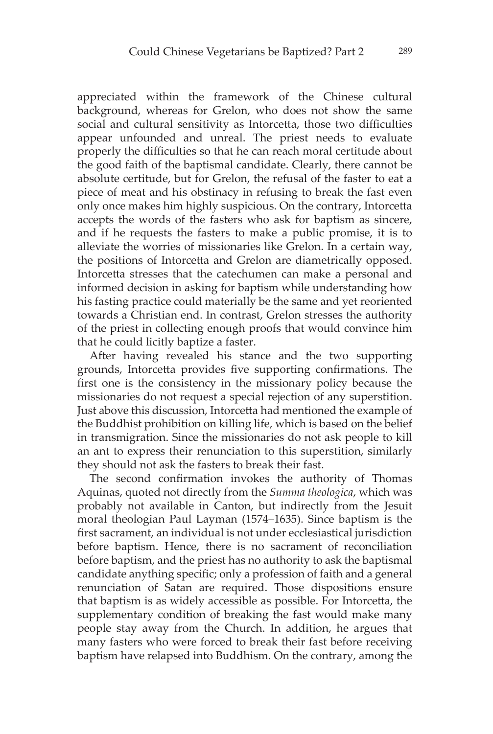appreciated within the framework of the Chinese cultural background, whereas for Grelon, who does not show the same social and cultural sensitivity as Intorcetta, those two difficulties appear unfounded and unreal. The priest needs to evaluate properly the difficulties so that he can reach moral certitude about the good faith of the baptismal candidate. Clearly, there cannot be absolute certitude, but for Grelon, the refusal of the faster to eat a piece of meat and his obstinacy in refusing to break the fast even only once makes him highly suspicious. On the contrary, Intorcetta accepts the words of the fasters who ask for baptism as sincere, and if he requests the fasters to make a public promise, it is to alleviate the worries of missionaries like Grelon. In a certain way, the positions of Intorcetta and Grelon are diametrically opposed. Intorcetta stresses that the catechumen can make a personal and informed decision in asking for baptism while understanding how his fasting practice could materially be the same and yet reoriented towards a Christian end. In contrast, Grelon stresses the authority of the priest in collecting enough proofs that would convince him that he could licitly baptize a faster.

After having revealed his stance and the two supporting grounds, Intorcetta provides five supporting confirmations. The first one is the consistency in the missionary policy because the missionaries do not request a special rejection of any superstition. Just above this discussion, Intorcetta had mentioned the example of the Buddhist prohibition on killing life, which is based on the belief in transmigration. Since the missionaries do not ask people to kill an ant to express their renunciation to this superstition, similarly they should not ask the fasters to break their fast.

The second confirmation invokes the authority of Thomas Aquinas, quoted not directly from the *Summa theologica*, which was probably not available in Canton, but indirectly from the Jesuit moral theologian Paul Layman (1574–1635). Since baptism is the first sacrament, an individual is not under ecclesiastical jurisdiction before baptism. Hence, there is no sacrament of reconciliation before baptism, and the priest has no authority to ask the baptismal candidate anything specific; only a profession of faith and a general renunciation of Satan are required. Those dispositions ensure that baptism is as widely accessible as possible. For Intorcetta, the supplementary condition of breaking the fast would make many people stay away from the Church. In addition, he argues that many fasters who were forced to break their fast before receiving baptism have relapsed into Buddhism. On the contrary, among the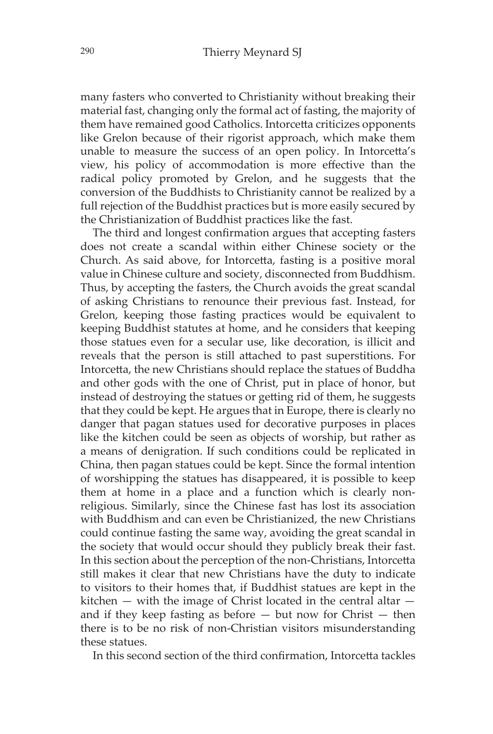many fasters who converted to Christianity without breaking their material fast, changing only the formal act of fasting, the majority of them have remained good Catholics. Intorcetta criticizes opponents like Grelon because of their rigorist approach, which make them unable to measure the success of an open policy. In Intorcetta's view, his policy of accommodation is more effective than the radical policy promoted by Grelon, and he suggests that the conversion of the Buddhists to Christianity cannot be realized by a full rejection of the Buddhist practices but is more easily secured by the Christianization of Buddhist practices like the fast.

The third and longest confirmation argues that accepting fasters does not create a scandal within either Chinese society or the Church. As said above, for Intorcetta, fasting is a positive moral value in Chinese culture and society, disconnected from Buddhism. Thus, by accepting the fasters, the Church avoids the great scandal of asking Christians to renounce their previous fast. Instead, for Grelon, keeping those fasting practices would be equivalent to keeping Buddhist statutes at home, and he considers that keeping those statues even for a secular use, like decoration, is illicit and reveals that the person is still attached to past superstitions. For Intorcetta, the new Christians should replace the statues of Buddha and other gods with the one of Christ, put in place of honor, but instead of destroying the statues or getting rid of them, he suggests that they could be kept. He argues that in Europe, there is clearly no danger that pagan statues used for decorative purposes in places like the kitchen could be seen as objects of worship, but rather as a means of denigration. If such conditions could be replicated in China, then pagan statues could be kept. Since the formal intention of worshipping the statues has disappeared, it is possible to keep them at home in a place and a function which is clearly nonreligious. Similarly, since the Chinese fast has lost its association with Buddhism and can even be Christianized, the new Christians could continue fasting the same way, avoiding the great scandal in the society that would occur should they publicly break their fast. In this section about the perception of the non-Christians, Intorcetta still makes it clear that new Christians have the duty to indicate to visitors to their homes that, if Buddhist statues are kept in the kitchen  $-$  with the image of Christ located in the central altar  $$ and if they keep fasting as before  $-$  but now for Christ  $-$  then there is to be no risk of non-Christian visitors misunderstanding these statues.

In this second section of the third confirmation, Intorcetta tackles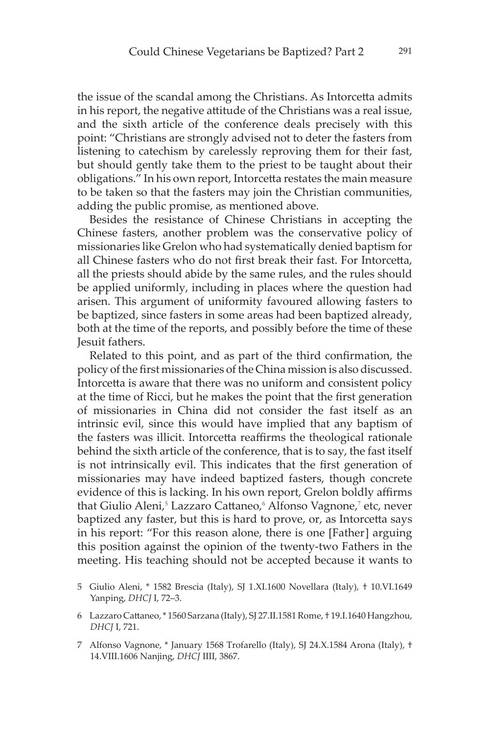the issue of the scandal among the Christians. As Intorcetta admits in his report, the negative attitude of the Christians was a real issue, and the sixth article of the conference deals precisely with this point: "Christians are strongly advised not to deter the fasters from listening to catechism by carelessly reproving them for their fast, but should gently take them to the priest to be taught about their obligations." In his own report, Intorcetta restates the main measure to be taken so that the fasters may join the Christian communities, adding the public promise, as mentioned above.

Besides the resistance of Chinese Christians in accepting the Chinese fasters, another problem was the conservative policy of missionaries like Grelon who had systematically denied baptism for all Chinese fasters who do not first break their fast. For Intorcetta, all the priests should abide by the same rules, and the rules should be applied uniformly, including in places where the question had arisen. This argument of uniformity favoured allowing fasters to be baptized, since fasters in some areas had been baptized already, both at the time of the reports, and possibly before the time of these Jesuit fathers.

Related to this point, and as part of the third confirmation, the policy of the first missionaries of the China mission is also discussed. Intorcetta is aware that there was no uniform and consistent policy at the time of Ricci, but he makes the point that the first generation of missionaries in China did not consider the fast itself as an intrinsic evil, since this would have implied that any baptism of the fasters was illicit. Intorcetta reaffirms the theological rationale behind the sixth article of the conference, that is to say, the fast itself is not intrinsically evil. This indicates that the first generation of missionaries may have indeed baptized fasters, though concrete evidence of this is lacking. In his own report, Grelon boldly affirms that Giulio Aleni,<sup>5</sup> Lazzaro Cattaneo,<sup>6</sup> Alfonso Vagnone,<sup>7</sup> etc, never baptized any faster, but this is hard to prove, or, as Intorcetta says in his report: "For this reason alone, there is one [Father] arguing this position against the opinion of the twenty-two Fathers in the meeting. His teaching should not be accepted because it wants to

- 5 Giulio Aleni, \* 1582 Brescia (Italy), SJ 1.XI.1600 Novellara (Italy), † 10.VI.1649 Yanping, *DHCJ* I, 72–3.
- 6 Lazzaro Cattaneo, \* 1560 Sarzana (Italy), SJ 27.II.1581 Rome, † 19.I.1640 Hangzhou, *DHCJ* I, 721.
- 7 Alfonso Vagnone, \* January 1568 Trofarello (Italy), SJ 24.X.1584 Arona (Italy), † 14.VIII.1606 Nanjing, *DHCJ* IIII, 3867.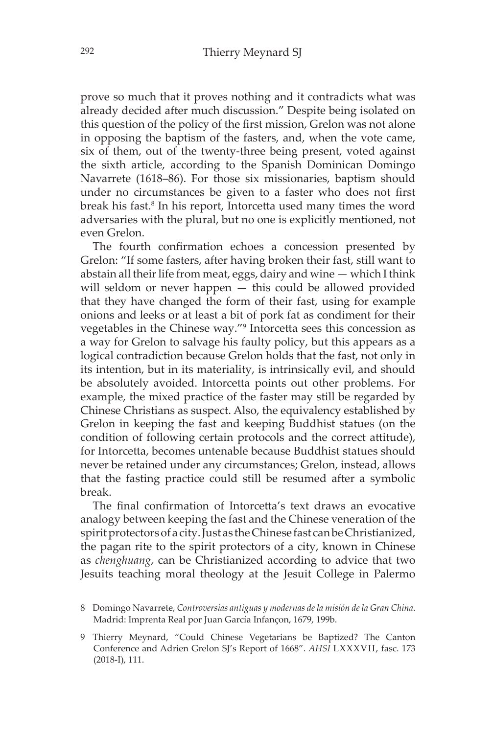prove so much that it proves nothing and it contradicts what was already decided after much discussion." Despite being isolated on this question of the policy of the first mission, Grelon was not alone in opposing the baptism of the fasters, and, when the vote came, six of them, out of the twenty-three being present, voted against the sixth article, according to the Spanish Dominican Domingo Navarrete (1618–86). For those six missionaries, baptism should under no circumstances be given to a faster who does not first break his fast.<sup>8</sup> In his report, Intorcetta used many times the word adversaries with the plural, but no one is explicitly mentioned, not even Grelon.

The fourth confirmation echoes a concession presented by Grelon: "If some fasters, after having broken their fast, still want to abstain all their life from meat, eggs, dairy and wine — which I think will seldom or never happen — this could be allowed provided that they have changed the form of their fast, using for example onions and leeks or at least a bit of pork fat as condiment for their vegetables in the Chinese way."9 Intorcetta sees this concession as a way for Grelon to salvage his faulty policy, but this appears as a logical contradiction because Grelon holds that the fast, not only in its intention, but in its materiality, is intrinsically evil, and should be absolutely avoided. Intorcetta points out other problems. For example, the mixed practice of the faster may still be regarded by Chinese Christians as suspect. Also, the equivalency established by Grelon in keeping the fast and keeping Buddhist statues (on the condition of following certain protocols and the correct attitude), for Intorcetta, becomes untenable because Buddhist statues should never be retained under any circumstances; Grelon, instead, allows that the fasting practice could still be resumed after a symbolic break.

The final confirmation of Intorcetta's text draws an evocative analogy between keeping the fast and the Chinese veneration of the spirit protectors of a city. Just as the Chinese fast can be Christianized, the pagan rite to the spirit protectors of a city, known in Chinese as *chenghuang*, can be Christianized according to advice that two Jesuits teaching moral theology at the Jesuit College in Palermo

- 8 Domingo Navarrete, *Controversias antiguas y modernas de la misión de la Gran China*. Madrid: Imprenta Real por Juan García Infançon, 1679, 199b.
- 9 Thierry Meynard, "Could Chinese Vegetarians be Baptized? The Canton Conference and Adrien Grelon SJ's Report of 1668". *AHSI* LXXXVII, fasc. 173 (2018-I), 111.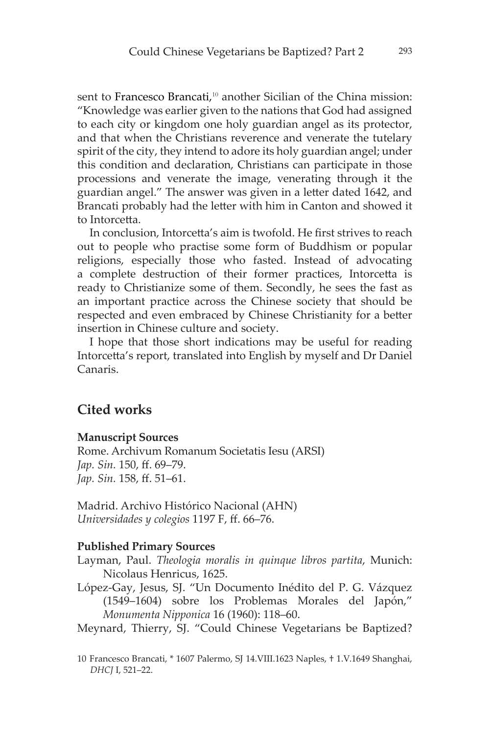sent to Francesco Brancati,<sup>10</sup> another Sicilian of the China mission: "Knowledge was earlier given to the nations that God had assigned to each city or kingdom one holy guardian angel as its protector, and that when the Christians reverence and venerate the tutelary spirit of the city, they intend to adore its holy guardian angel; under this condition and declaration, Christians can participate in those processions and venerate the image, venerating through it the guardian angel." The answer was given in a letter dated 1642, and Brancati probably had the letter with him in Canton and showed it to Intorcetta.

In conclusion, Intorcetta's aim is twofold. He first strives to reach out to people who practise some form of Buddhism or popular religions, especially those who fasted. Instead of advocating a complete destruction of their former practices, Intorcetta is ready to Christianize some of them. Secondly, he sees the fast as an important practice across the Chinese society that should be respected and even embraced by Chinese Christianity for a better insertion in Chinese culture and society.

I hope that those short indications may be useful for reading Intorcetta's report, translated into English by myself and Dr Daniel Canaris.

# **Cited works**

#### **Manuscript Sources**

Rome. Archivum Romanum Societatis Iesu (ARSI) *Jap. Sin.* 150, ff. 69–79. *Jap. Sin.* 158, ff. 51–61.

Madrid. Archivo Histórico Nacional (AHN) *Universidades y colegios* 1197 F, ff. 66–76.

#### **Published Primary Sources**

- Layman, Paul. *Theologia moralis in quinque libros partita*, Munich: Nicolaus Henricus, 1625.
- López-Gay, Jesus, SJ. "Un Documento Inédito del P. G. Vázquez (1549–1604) sobre los Problemas Morales del Japón," *Monumenta Nipponica* 16 (1960): 118–60.
- Meynard, Thierry, SJ. "Could Chinese Vegetarians be Baptized?
- 10 Francesco Brancati, \* 1607 Palermo, SJ 14.VIII.1623 Naples, † 1.V.1649 Shanghai, *DHCJ* I, 521–22.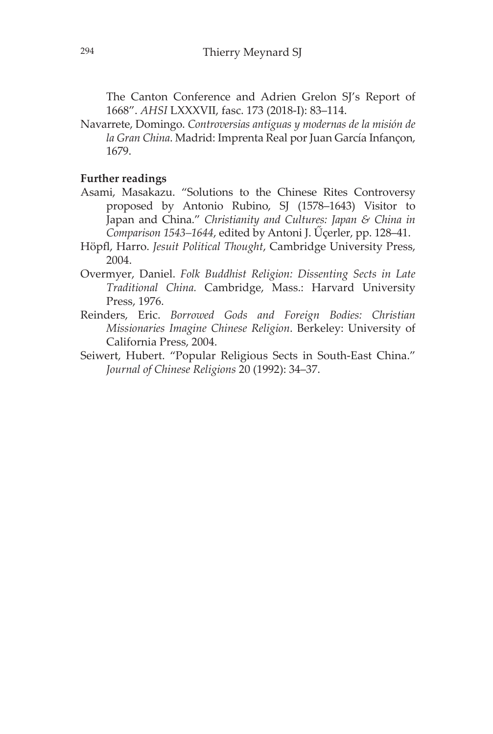The Canton Conference and Adrien Grelon SJ's Report of 1668". *AHSI* LXXXVII, fasc. 173 (2018-I): 83–114.

Navarrete, Domingo. *Controversias antiguas y modernas de la misión de la Gran China*. Madrid: Imprenta Real por Juan García Infançon, 1679.

## **Further readings**

- Asami, Masakazu. "Solutions to the Chinese Rites Controversy proposed by Antonio Rubino, SJ (1578–1643) Visitor to Japan and China." *Christianity and Cultures: Japan & China in Comparison 1543–1644*, edited by Antoni J. Űçerler, pp. 128–41.
- Höpfl, Harro. *Jesuit Political Thought*, Cambridge University Press, 2004.
- Overmyer, Daniel. *Folk Buddhist Religion: Dissenting Sects in Late Traditional China.* Cambridge, Mass.: Harvard University Press, 1976.
- Reinders, Eric. *Borrowed Gods and Foreign Bodies: Christian Missionaries Imagine Chinese Religion*. Berkeley: University of California Press, 2004.
- Seiwert, Hubert. "Popular Religious Sects in South-East China." *Journal of Chinese Religions* 20 (1992): 34–37.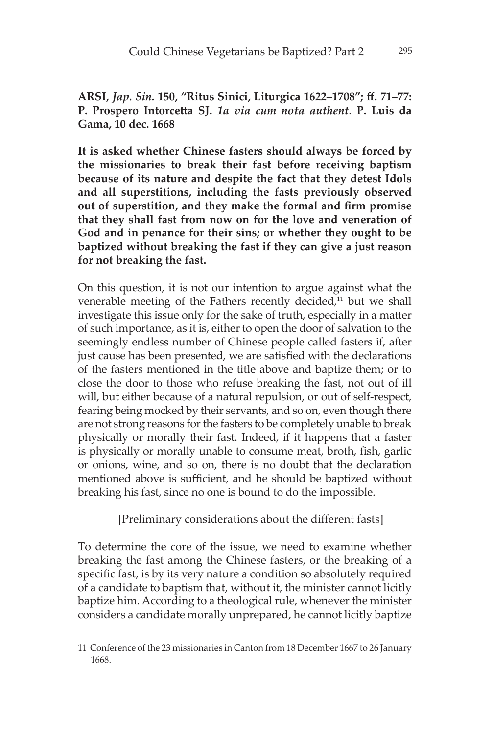**ARSI,** *Jap. Sin.* **150, "Ritus Sinici, Liturgica 1622–1708"; ff. 71–77: P. Prospero Intorcetta SJ.** *1a via cum nota authent.* **P. Luis da Gama, 10 dec. 1668**

**It is asked whether Chinese fasters should always be forced by the missionaries to break their fast before receiving baptism because of its nature and despite the fact that they detest Idols and all superstitions, including the fasts previously observed out of superstition, and they make the formal and firm promise that they shall fast from now on for the love and veneration of God and in penance for their sins; or whether they ought to be baptized without breaking the fast if they can give a just reason for not breaking the fast.**

On this question, it is not our intention to argue against what the venerable meeting of the Fathers recently decided,<sup>11</sup> but we shall investigate this issue only for the sake of truth, especially in a matter of such importance, as it is, either to open the door of salvation to the seemingly endless number of Chinese people called fasters if, after just cause has been presented, we are satisfied with the declarations of the fasters mentioned in the title above and baptize them; or to close the door to those who refuse breaking the fast, not out of ill will, but either because of a natural repulsion, or out of self-respect, fearing being mocked by their servants, and so on, even though there are not strong reasons for the fasters to be completely unable to break physically or morally their fast. Indeed, if it happens that a faster is physically or morally unable to consume meat, broth, fish, garlic or onions, wine, and so on, there is no doubt that the declaration mentioned above is sufficient, and he should be baptized without breaking his fast, since no one is bound to do the impossible.

[Preliminary considerations about the different fasts]

To determine the core of the issue, we need to examine whether breaking the fast among the Chinese fasters, or the breaking of a specific fast, is by its very nature a condition so absolutely required of a candidate to baptism that, without it, the minister cannot licitly baptize him. According to a theological rule, whenever the minister considers a candidate morally unprepared, he cannot licitly baptize

<sup>11</sup> Conference of the 23 missionaries in Canton from 18 December 1667 to 26 January 1668.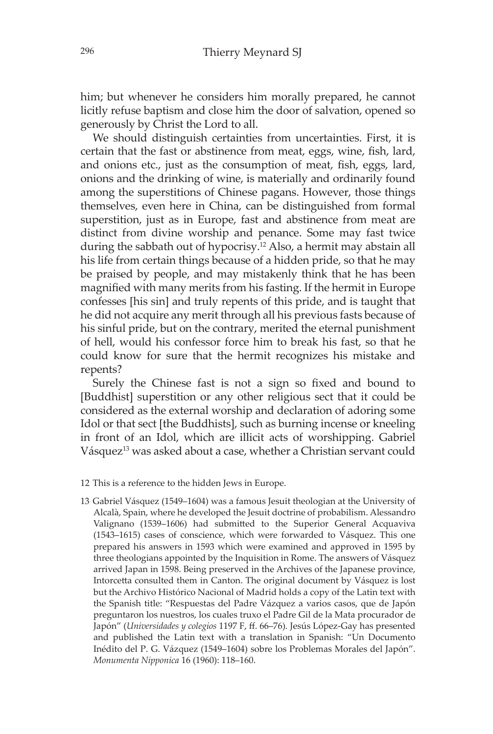him; but whenever he considers him morally prepared, he cannot licitly refuse baptism and close him the door of salvation, opened so generously by Christ the Lord to all.

We should distinguish certainties from uncertainties. First, it is certain that the fast or abstinence from meat, eggs, wine, fish, lard, and onions etc., just as the consumption of meat, fish, eggs, lard, onions and the drinking of wine, is materially and ordinarily found among the superstitions of Chinese pagans. However, those things themselves, even here in China, can be distinguished from formal superstition, just as in Europe, fast and abstinence from meat are distinct from divine worship and penance. Some may fast twice during the sabbath out of hypocrisy.12 Also, a hermit may abstain all his life from certain things because of a hidden pride, so that he may be praised by people, and may mistakenly think that he has been magnified with many merits from his fasting. If the hermit in Europe confesses [his sin] and truly repents of this pride, and is taught that he did not acquire any merit through all his previous fasts because of his sinful pride, but on the contrary, merited the eternal punishment of hell, would his confessor force him to break his fast, so that he could know for sure that the hermit recognizes his mistake and repents?

Surely the Chinese fast is not a sign so fixed and bound to [Buddhist] superstition or any other religious sect that it could be considered as the external worship and declaration of adoring some Idol or that sect [the Buddhists], such as burning incense or kneeling in front of an Idol, which are illicit acts of worshipping. Gabriel Vásquez<sup>13</sup> was asked about a case, whether a Christian servant could

- 12 This is a reference to the hidden Jews in Europe.
- 13 Gabriel Vásquez (1549–1604) was a famous Jesuit theologian at the University of Alcalà, Spain, where he developed the Jesuit doctrine of probabilism. Alessandro Valignano (1539–1606) had submitted to the Superior General Acquaviva (1543–1615) cases of conscience, which were forwarded to Vásquez. This one prepared his answers in 1593 which were examined and approved in 1595 by three theologians appointed by the Inquisition in Rome. The answers of Vásquez arrived Japan in 1598. Being preserved in the Archives of the Japanese province, Intorcetta consulted them in Canton. The original document by Vásquez is lost but the Archivo Histórico Nacional of Madrid holds a copy of the Latin text with the Spanish title: "Respuestas del Padre Vázquez a varios casos, que de Japón preguntaron los nuestros, los cuales truxo el Padre Gil de la Mata procurador de Japón" (*Universidades y colegios* 1197 F, ff. 66–76). Jesús López-Gay has presented and published the Latin text with a translation in Spanish: "Un Documento Inédito del P. G. Vázquez (1549–1604) sobre los Problemas Morales del Japón". *Monumenta Nipponica* 16 (1960): 118–160.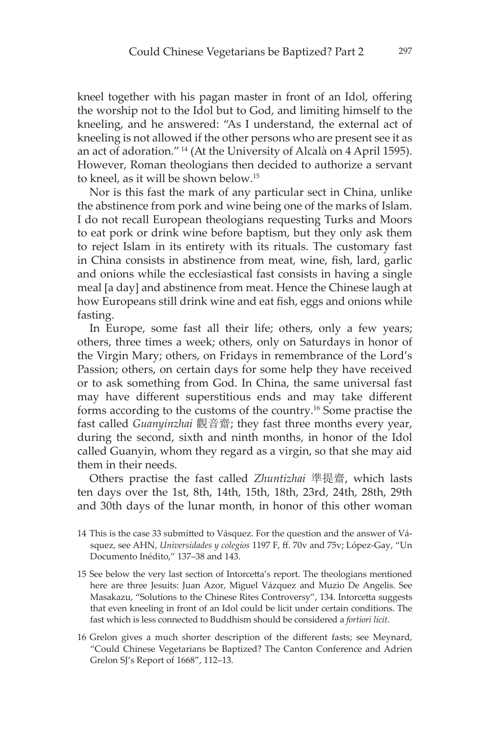kneel together with his pagan master in front of an Idol, offering the worship not to the Idol but to God, and limiting himself to the kneeling, and he answered: "As I understand, the external act of kneeling is not allowed if the other persons who are present see it as an act of adoration." 14 (At the University of Alcalà on 4 April 1595). However, Roman theologians then decided to authorize a servant to kneel, as it will be shown below.15

Nor is this fast the mark of any particular sect in China, unlike the abstinence from pork and wine being one of the marks of Islam. I do not recall European theologians requesting Turks and Moors to eat pork or drink wine before baptism, but they only ask them to reject Islam in its entirety with its rituals. The customary fast in China consists in abstinence from meat, wine, fish, lard, garlic and onions while the ecclesiastical fast consists in having a single meal [a day] and abstinence from meat. Hence the Chinese laugh at how Europeans still drink wine and eat fish, eggs and onions while fasting.

In Europe, some fast all their life; others, only a few years; others, three times a week; others, only on Saturdays in honor of the Virgin Mary; others, on Fridays in remembrance of the Lord's Passion; others, on certain days for some help they have received or to ask something from God. In China, the same universal fast may have different superstitious ends and may take different forms according to the customs of the country.16 Some practise the fast called *Guanyinzhai* 觀音齋; they fast three months every year, during the second, sixth and ninth months, in honor of the Idol called Guanyin, whom they regard as a virgin, so that she may aid them in their needs.

Others practise the fast called *Zhuntizhai* 準提齋, which lasts ten days over the 1st, 8th, 14th, 15th, 18th, 23rd, 24th, 28th, 29th and 30th days of the lunar month, in honor of this other woman

- 14 This is the case 33 submitted to Vásquez. For the question and the answer of Vásquez, see AHN, *Universidades y colegios* 1197 F, ff. 70v and 75v; López-Gay, "Un Documento Inédito," 137–38 and 143.
- 15 See below the very last section of Intorcetta's report. The theologians mentioned here are three Jesuits: Juan Azor, Miguel Vázquez and Muzio De Angelis. See Masakazu, "Solutions to the Chinese Rites Controversy", 134. Intorcetta suggests that even kneeling in front of an Idol could be licit under certain conditions. The fast which is less connected to Buddhism should be considered a *fortiori licit*.
- 16 Grelon gives a much shorter description of the different fasts; see Meynard, "Could Chinese Vegetarians be Baptized? The Canton Conference and Adrien Grelon SJ's Report of 1668", 112–13.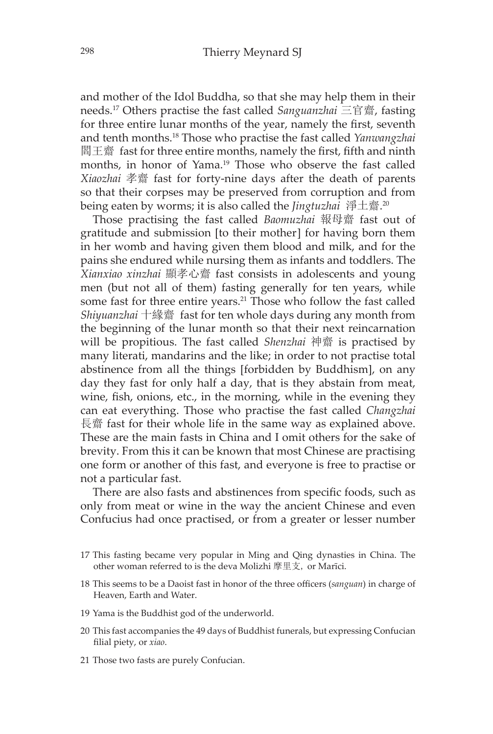and mother of the Idol Buddha, so that she may help them in their needs.17 Others practise the fast called *Sanguanzhai* 三官齋, fasting for three entire lunar months of the year, namely the first, seventh and tenth months.18 Those who practise the fast called *Yanwangzhai* 閻王齋 fast for three entire months, namely the first, fifth and ninth months, in honor of Yama.<sup>19</sup> Those who observe the fast called *Xiaozhai* 孝齋 fast for forty-nine days after the death of parents so that their corpses may be preserved from corruption and from being eaten by worms; it is also called the *Jingtuzhai* 淨土齋. 20

Those practising the fast called *Baomuzhai* 報母齋 fast out of gratitude and submission [to their mother] for having born them in her womb and having given them blood and milk, and for the pains she endured while nursing them as infants and toddlers. The *Xianxiao xinzhai* 顯孝心齋 fast consists in adolescents and young men (but not all of them) fasting generally for ten years, while some fast for three entire years.<sup>21</sup> Those who follow the fast called *Shiyuanzhai* 十緣齋 fast for ten whole days during any month from the beginning of the lunar month so that their next reincarnation will be propitious. The fast called *Shenzhai* 神齋 is practised by many literati, mandarins and the like; in order to not practise total abstinence from all the things [forbidden by Buddhism], on any day they fast for only half a day, that is they abstain from meat, wine, fish, onions, etc., in the morning, while in the evening they can eat everything. Those who practise the fast called *Changzhai* 長齋 fast for their whole life in the same way as explained above. These are the main fasts in China and I omit others for the sake of brevity. From this it can be known that most Chinese are practising one form or another of this fast, and everyone is free to practise or not a particular fast.

There are also fasts and abstinences from specific foods, such as only from meat or wine in the way the ancient Chinese and even Confucius had once practised, or from a greater or lesser number

- 17 This fasting became very popular in Ming and Qing dynasties in China. The other woman referred to is the deva Molizhi 摩里支, or Marīci.
- 18 This seems to be a Daoist fast in honor of the three officers (*sanguan*) in charge of Heaven, Earth and Water.
- 19 Yama is the Buddhist god of the underworld.
- 20 This fast accompanies the 49 days of Buddhist funerals, but expressing Confucian filial piety, or *xiao*.
- 21 Those two fasts are purely Confucian.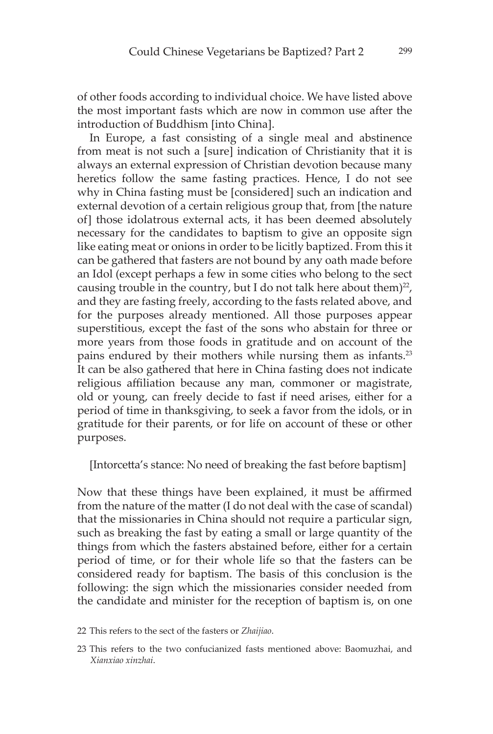of other foods according to individual choice. We have listed above the most important fasts which are now in common use after the introduction of Buddhism [into China].

In Europe, a fast consisting of a single meal and abstinence from meat is not such a [sure] indication of Christianity that it is always an external expression of Christian devotion because many heretics follow the same fasting practices. Hence, I do not see why in China fasting must be [considered] such an indication and external devotion of a certain religious group that, from [the nature of] those idolatrous external acts, it has been deemed absolutely necessary for the candidates to baptism to give an opposite sign like eating meat or onions in order to be licitly baptized. From this it can be gathered that fasters are not bound by any oath made before an Idol (except perhaps a few in some cities who belong to the sect causing trouble in the country, but I do not talk here about them) $^{22}$ , and they are fasting freely, according to the fasts related above, and for the purposes already mentioned. All those purposes appear superstitious, except the fast of the sons who abstain for three or more years from those foods in gratitude and on account of the pains endured by their mothers while nursing them as infants.<sup>23</sup> It can be also gathered that here in China fasting does not indicate religious affiliation because any man, commoner or magistrate, old or young, can freely decide to fast if need arises, either for a period of time in thanksgiving, to seek a favor from the idols, or in gratitude for their parents, or for life on account of these or other purposes.

[Intorcetta's stance: No need of breaking the fast before baptism]

Now that these things have been explained, it must be affirmed from the nature of the matter (I do not deal with the case of scandal) that the missionaries in China should not require a particular sign, such as breaking the fast by eating a small or large quantity of the things from which the fasters abstained before, either for a certain period of time, or for their whole life so that the fasters can be considered ready for baptism. The basis of this conclusion is the following: the sign which the missionaries consider needed from the candidate and minister for the reception of baptism is, on one

- 22 This refers to the sect of the fasters or *Zhaijiao*.
- 23 This refers to the two confucianized fasts mentioned above: Baomuzhai, and *Xianxiao xinzhai*.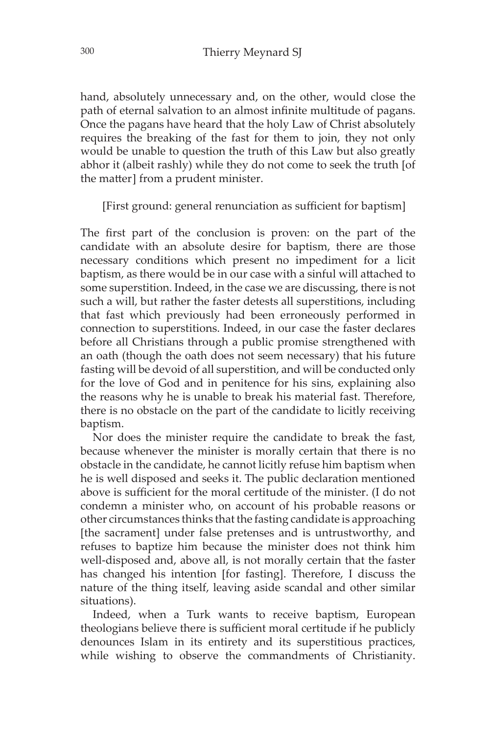hand, absolutely unnecessary and, on the other, would close the path of eternal salvation to an almost infinite multitude of pagans. Once the pagans have heard that the holy Law of Christ absolutely requires the breaking of the fast for them to join, they not only would be unable to question the truth of this Law but also greatly abhor it (albeit rashly) while they do not come to seek the truth [of the matter] from a prudent minister.

[First ground: general renunciation as sufficient for baptism]

The first part of the conclusion is proven: on the part of the candidate with an absolute desire for baptism, there are those necessary conditions which present no impediment for a licit baptism, as there would be in our case with a sinful will attached to some superstition. Indeed, in the case we are discussing, there is not such a will, but rather the faster detests all superstitions, including that fast which previously had been erroneously performed in connection to superstitions. Indeed, in our case the faster declares before all Christians through a public promise strengthened with an oath (though the oath does not seem necessary) that his future fasting will be devoid of all superstition, and will be conducted only for the love of God and in penitence for his sins, explaining also the reasons why he is unable to break his material fast. Therefore, there is no obstacle on the part of the candidate to licitly receiving baptism.

Nor does the minister require the candidate to break the fast, because whenever the minister is morally certain that there is no obstacle in the candidate, he cannot licitly refuse him baptism when he is well disposed and seeks it. The public declaration mentioned above is sufficient for the moral certitude of the minister. (I do not condemn a minister who, on account of his probable reasons or other circumstances thinks that the fasting candidate is approaching [the sacrament] under false pretenses and is untrustworthy, and refuses to baptize him because the minister does not think him well-disposed and, above all, is not morally certain that the faster has changed his intention [for fasting]. Therefore, I discuss the nature of the thing itself, leaving aside scandal and other similar situations).

Indeed, when a Turk wants to receive baptism, European theologians believe there is sufficient moral certitude if he publicly denounces Islam in its entirety and its superstitious practices, while wishing to observe the commandments of Christianity.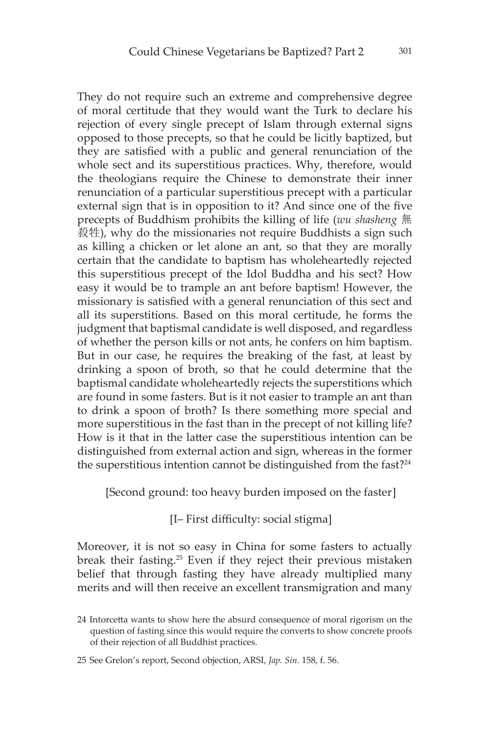They do not require such an extreme and comprehensive degree of moral certitude that they would want the Turk to declare his rejection of every single precept of Islam through external signs opposed to those precepts, so that he could be licitly baptized, but they are satisfied with a public and general renunciation of the whole sect and its superstitious practices. Why, therefore, would the theologians require the Chinese to demonstrate their inner renunciation of a particular superstitious precept with a particular external sign that is in opposition to it? And since one of the five precepts of Buddhism prohibits the killing of life (*wu shasheng* 無 殺牲), why do the missionaries not require Buddhists a sign such as killing a chicken or let alone an ant, so that they are morally certain that the candidate to baptism has wholeheartedly rejected this superstitious precept of the Idol Buddha and his sect? How easy it would be to trample an ant before baptism! However, the missionary is satisfied with a general renunciation of this sect and all its superstitions. Based on this moral certitude, he forms the judgment that baptismal candidate is well disposed, and regardless of whether the person kills or not ants, he confers on him baptism. But in our case, he requires the breaking of the fast, at least by drinking a spoon of broth, so that he could determine that the baptismal candidate wholeheartedly rejects the superstitions which are found in some fasters. But is it not easier to trample an ant than to drink a spoon of broth? Is there something more special and more superstitious in the fast than in the precept of not killing life? How is it that in the latter case the superstitious intention can be distinguished from external action and sign, whereas in the former the superstitious intention cannot be distinguished from the fast?24

[Second ground: too heavy burden imposed on the faster]

[I– First difficulty: social stigma]

Moreover, it is not so easy in China for some fasters to actually break their fasting.25 Even if they reject their previous mistaken belief that through fasting they have already multiplied many merits and will then receive an excellent transmigration and many

<sup>24</sup> Intorcetta wants to show here the absurd consequence of moral rigorism on the question of fasting since this would require the converts to show concrete proofs of their rejection of all Buddhist practices.

<sup>25</sup> See Grelon's report, Second objection, ARSI, *Jap. Sin.* 158, f. 56.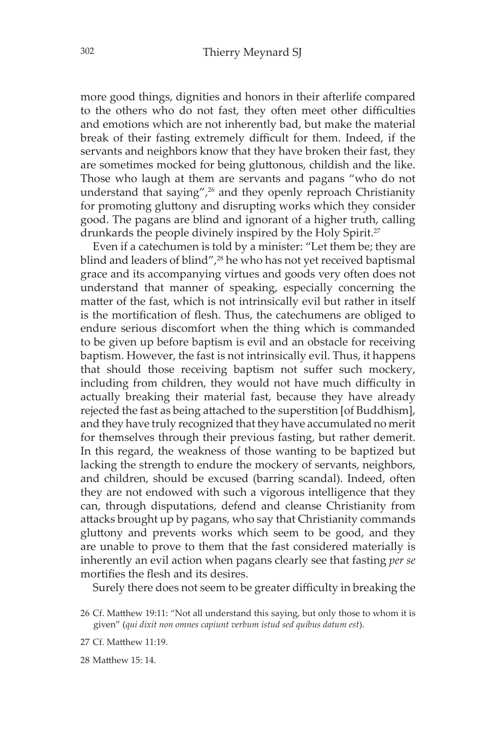more good things, dignities and honors in their afterlife compared to the others who do not fast, they often meet other difficulties and emotions which are not inherently bad, but make the material break of their fasting extremely difficult for them. Indeed, if the servants and neighbors know that they have broken their fast, they are sometimes mocked for being gluttonous, childish and the like. Those who laugh at them are servants and pagans "who do not understand that saying",<sup>26</sup> and they openly reproach Christianity for promoting gluttony and disrupting works which they consider good. The pagans are blind and ignorant of a higher truth, calling drunkards the people divinely inspired by the Holy Spirit.<sup>27</sup>

Even if a catechumen is told by a minister: "Let them be; they are blind and leaders of blind",<sup>28</sup> he who has not yet received baptismal grace and its accompanying virtues and goods very often does not understand that manner of speaking, especially concerning the matter of the fast, which is not intrinsically evil but rather in itself is the mortification of flesh. Thus, the catechumens are obliged to endure serious discomfort when the thing which is commanded to be given up before baptism is evil and an obstacle for receiving baptism. However, the fast is not intrinsically evil. Thus, it happens that should those receiving baptism not suffer such mockery, including from children, they would not have much difficulty in actually breaking their material fast, because they have already rejected the fast as being attached to the superstition [of Buddhism], and they have truly recognized that they have accumulated no merit for themselves through their previous fasting, but rather demerit. In this regard, the weakness of those wanting to be baptized but lacking the strength to endure the mockery of servants, neighbors, and children, should be excused (barring scandal). Indeed, often they are not endowed with such a vigorous intelligence that they can, through disputations, defend and cleanse Christianity from attacks brought up by pagans, who say that Christianity commands gluttony and prevents works which seem to be good, and they are unable to prove to them that the fast considered materially is inherently an evil action when pagans clearly see that fasting *per se* mortifies the flesh and its desires.

Surely there does not seem to be greater difficulty in breaking the

28 Matthew 15: 14.

<sup>26</sup> Cf. Matthew 19:11: "Not all understand this saying, but only those to whom it is given" (*qui dixit non omnes capiunt verbum istud sed quibus datum est*).

<sup>27</sup> Cf. Matthew 11:19.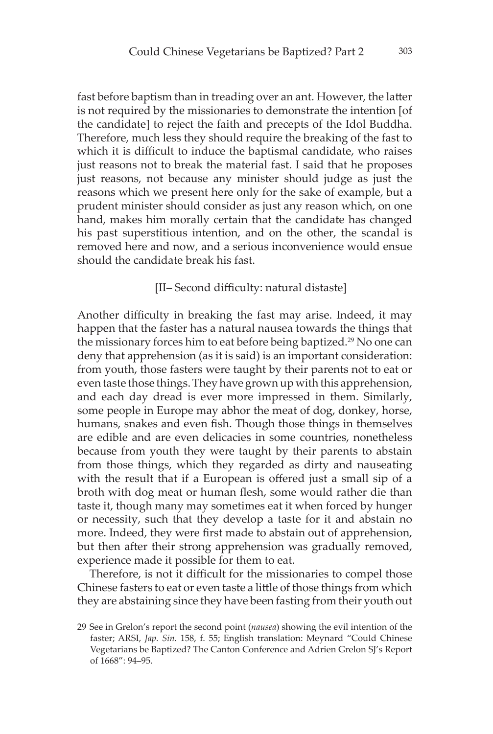fast before baptism than in treading over an ant. However, the latter is not required by the missionaries to demonstrate the intention [of the candidate] to reject the faith and precepts of the Idol Buddha. Therefore, much less they should require the breaking of the fast to which it is difficult to induce the baptismal candidate, who raises just reasons not to break the material fast. I said that he proposes just reasons, not because any minister should judge as just the reasons which we present here only for the sake of example, but a prudent minister should consider as just any reason which, on one hand, makes him morally certain that the candidate has changed his past superstitious intention, and on the other, the scandal is removed here and now, and a serious inconvenience would ensue should the candidate break his fast.

#### [II– Second difficulty: natural distaste]

Another difficulty in breaking the fast may arise. Indeed, it may happen that the faster has a natural nausea towards the things that the missionary forces him to eat before being baptized.<sup>29</sup> No one can deny that apprehension (as it is said) is an important consideration: from youth, those fasters were taught by their parents not to eat or even taste those things. They have grown up with this apprehension, and each day dread is ever more impressed in them. Similarly, some people in Europe may abhor the meat of dog, donkey, horse, humans, snakes and even fish. Though those things in themselves are edible and are even delicacies in some countries, nonetheless because from youth they were taught by their parents to abstain from those things, which they regarded as dirty and nauseating with the result that if a European is offered just a small sip of a broth with dog meat or human flesh, some would rather die than taste it, though many may sometimes eat it when forced by hunger or necessity, such that they develop a taste for it and abstain no more. Indeed, they were first made to abstain out of apprehension, but then after their strong apprehension was gradually removed, experience made it possible for them to eat.

Therefore, is not it difficult for the missionaries to compel those Chinese fasters to eat or even taste a little of those things from which they are abstaining since they have been fasting from their youth out

<sup>29</sup> See in Grelon's report the second point (*nausea*) showing the evil intention of the faster; ARSI, *Jap. Sin.* 158, f. 55; English translation: Meynard "Could Chinese Vegetarians be Baptized? The Canton Conference and Adrien Grelon SJ's Report of 1668": 94–95.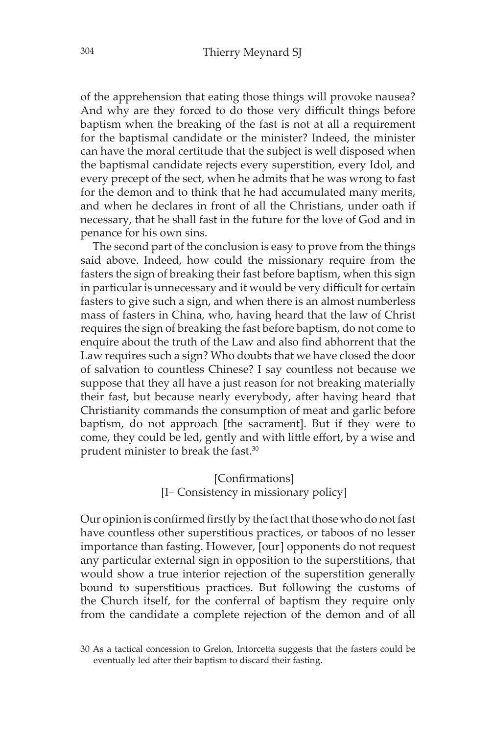of the apprehension that eating those things will provoke nausea? And why are they forced to do those very difficult things before baptism when the breaking of the fast is not at all a requirement for the baptismal candidate or the minister? Indeed, the minister can have the moral certitude that the subject is well disposed when the baptismal candidate rejects every superstition, every Idol, and every precept of the sect, when he admits that he was wrong to fast for the demon and to think that he had accumulated many merits, and when he declares in front of all the Christians, under oath if necessary, that he shall fast in the future for the love of God and in penance for his own sins.

The second part of the conclusion is easy to prove from the things said above. Indeed, how could the missionary require from the fasters the sign of breaking their fast before baptism, when this sign in particular is unnecessary and it would be very difficult for certain fasters to give such a sign, and when there is an almost numberless mass of fasters in China, who, having heard that the law of Christ requires the sign of breaking the fast before baptism, do not come to enquire about the truth of the Law and also find abhorrent that the Law requires such a sign? Who doubts that we have closed the door of salvation to countless Chinese? I say countless not because we suppose that they all have a just reason for not breaking materially their fast, but because nearly everybody, after having heard that Christianity commands the consumption of meat and garlic before baptism, do not approach [the sacrament]. But if they were to come, they could be led, gently and with little effort, by a wise and prudent minister to break the fast.30

> [Confirmations] [I– Consistency in missionary policy]

Our opinion is confirmed firstly by the fact that those who do not fast have countless other superstitious practices, or taboos of no lesser importance than fasting. However, [our] opponents do not request any particular external sign in opposition to the superstitions, that would show a true interior rejection of the superstition generally bound to superstitious practices. But following the customs of the Church itself, for the conferral of baptism they require only from the candidate a complete rejection of the demon and of all

<sup>30</sup> As a tactical concession to Grelon, Intorcetta suggests that the fasters could be eventually led after their baptism to discard their fasting.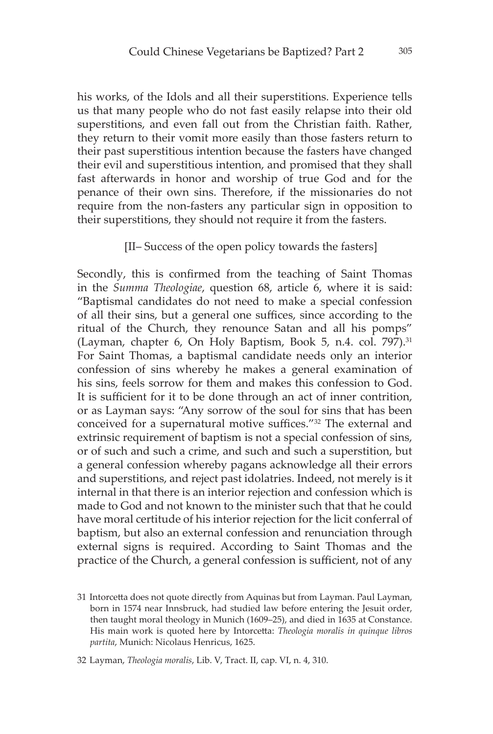his works, of the Idols and all their superstitions. Experience tells us that many people who do not fast easily relapse into their old superstitions, and even fall out from the Christian faith. Rather, they return to their vomit more easily than those fasters return to their past superstitious intention because the fasters have changed their evil and superstitious intention, and promised that they shall fast afterwards in honor and worship of true God and for the penance of their own sins. Therefore, if the missionaries do not require from the non-fasters any particular sign in opposition to their superstitions, they should not require it from the fasters.

#### [II– Success of the open policy towards the fasters]

Secondly, this is confirmed from the teaching of Saint Thomas in the *Summa Theologiae*, question 68, article 6, where it is said: "Baptismal candidates do not need to make a special confession of all their sins, but a general one suffices, since according to the ritual of the Church, they renounce Satan and all his pomps" (Layman, chapter 6, On Holy Baptism, Book 5, n.4. col. 797).<sup>31</sup> For Saint Thomas, a baptismal candidate needs only an interior confession of sins whereby he makes a general examination of his sins, feels sorrow for them and makes this confession to God. It is sufficient for it to be done through an act of inner contrition, or as Layman says: "Any sorrow of the soul for sins that has been conceived for a supernatural motive suffices."<sup>32</sup> The external and extrinsic requirement of baptism is not a special confession of sins, or of such and such a crime, and such and such a superstition, but a general confession whereby pagans acknowledge all their errors and superstitions, and reject past idolatries. Indeed, not merely is it internal in that there is an interior rejection and confession which is made to God and not known to the minister such that that he could have moral certitude of his interior rejection for the licit conferral of baptism, but also an external confession and renunciation through external signs is required. According to Saint Thomas and the practice of the Church, a general confession is sufficient, not of any

<sup>31</sup> Intorcetta does not quote directly from Aquinas but from Layman. Paul Layman, born in 1574 near Innsbruck, had studied law before entering the Jesuit order, then taught moral theology in Munich (1609–25), and died in 1635 at Constance. His main work is quoted here by Intorcetta: *Theologia moralis in quinque libros partita*, Munich: Nicolaus Henricus, 1625.

<sup>32</sup> Layman, *Theologia moralis*, Lib. V, Tract. II, cap. VI, n. 4, 310.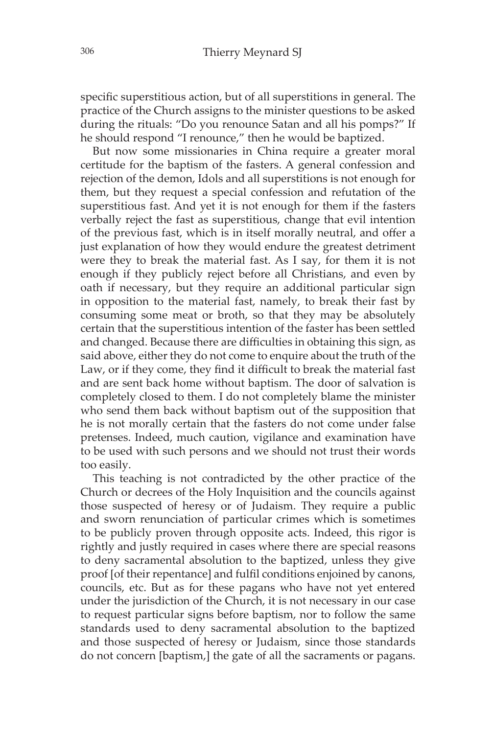specific superstitious action, but of all superstitions in general. The practice of the Church assigns to the minister questions to be asked during the rituals: "Do you renounce Satan and all his pomps?" If he should respond "I renounce," then he would be baptized.

But now some missionaries in China require a greater moral certitude for the baptism of the fasters. A general confession and rejection of the demon, Idols and all superstitions is not enough for them, but they request a special confession and refutation of the superstitious fast. And yet it is not enough for them if the fasters verbally reject the fast as superstitious, change that evil intention of the previous fast, which is in itself morally neutral, and offer a just explanation of how they would endure the greatest detriment were they to break the material fast. As I say, for them it is not enough if they publicly reject before all Christians, and even by oath if necessary, but they require an additional particular sign in opposition to the material fast, namely, to break their fast by consuming some meat or broth, so that they may be absolutely certain that the superstitious intention of the faster has been settled and changed. Because there are difficulties in obtaining this sign, as said above, either they do not come to enquire about the truth of the Law, or if they come, they find it difficult to break the material fast and are sent back home without baptism. The door of salvation is completely closed to them. I do not completely blame the minister who send them back without baptism out of the supposition that he is not morally certain that the fasters do not come under false pretenses. Indeed, much caution, vigilance and examination have to be used with such persons and we should not trust their words too easily.

This teaching is not contradicted by the other practice of the Church or decrees of the Holy Inquisition and the councils against those suspected of heresy or of Judaism. They require a public and sworn renunciation of particular crimes which is sometimes to be publicly proven through opposite acts. Indeed, this rigor is rightly and justly required in cases where there are special reasons to deny sacramental absolution to the baptized, unless they give proof [of their repentance] and fulfil conditions enjoined by canons, councils, etc. But as for these pagans who have not yet entered under the jurisdiction of the Church, it is not necessary in our case to request particular signs before baptism, nor to follow the same standards used to deny sacramental absolution to the baptized and those suspected of heresy or Judaism, since those standards do not concern [baptism,] the gate of all the sacraments or pagans.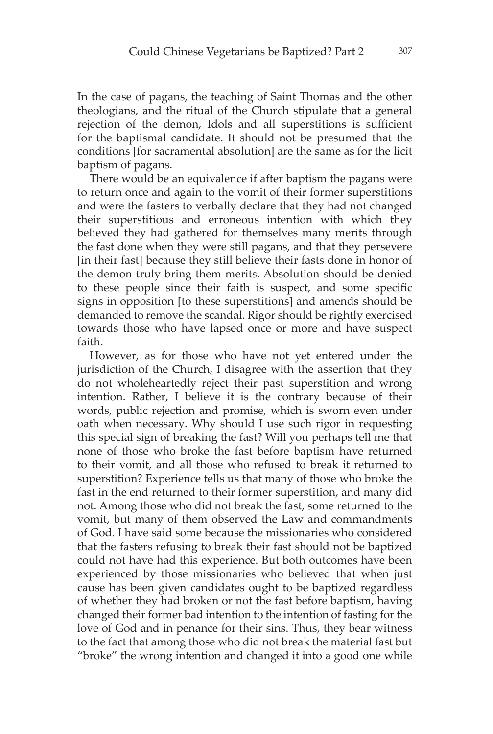In the case of pagans, the teaching of Saint Thomas and the other theologians, and the ritual of the Church stipulate that a general rejection of the demon, Idols and all superstitions is sufficient for the baptismal candidate. It should not be presumed that the conditions [for sacramental absolution] are the same as for the licit baptism of pagans.

There would be an equivalence if after baptism the pagans were to return once and again to the vomit of their former superstitions and were the fasters to verbally declare that they had not changed their superstitious and erroneous intention with which they believed they had gathered for themselves many merits through the fast done when they were still pagans, and that they persevere [in their fast] because they still believe their fasts done in honor of the demon truly bring them merits. Absolution should be denied to these people since their faith is suspect, and some specific signs in opposition [to these superstitions] and amends should be demanded to remove the scandal. Rigor should be rightly exercised towards those who have lapsed once or more and have suspect faith.

However, as for those who have not yet entered under the jurisdiction of the Church, I disagree with the assertion that they do not wholeheartedly reject their past superstition and wrong intention. Rather, I believe it is the contrary because of their words, public rejection and promise, which is sworn even under oath when necessary. Why should I use such rigor in requesting this special sign of breaking the fast? Will you perhaps tell me that none of those who broke the fast before baptism have returned to their vomit, and all those who refused to break it returned to superstition? Experience tells us that many of those who broke the fast in the end returned to their former superstition, and many did not. Among those who did not break the fast, some returned to the vomit, but many of them observed the Law and commandments of God. I have said some because the missionaries who considered that the fasters refusing to break their fast should not be baptized could not have had this experience. But both outcomes have been experienced by those missionaries who believed that when just cause has been given candidates ought to be baptized regardless of whether they had broken or not the fast before baptism, having changed their former bad intention to the intention of fasting for the love of God and in penance for their sins. Thus, they bear witness to the fact that among those who did not break the material fast but "broke" the wrong intention and changed it into a good one while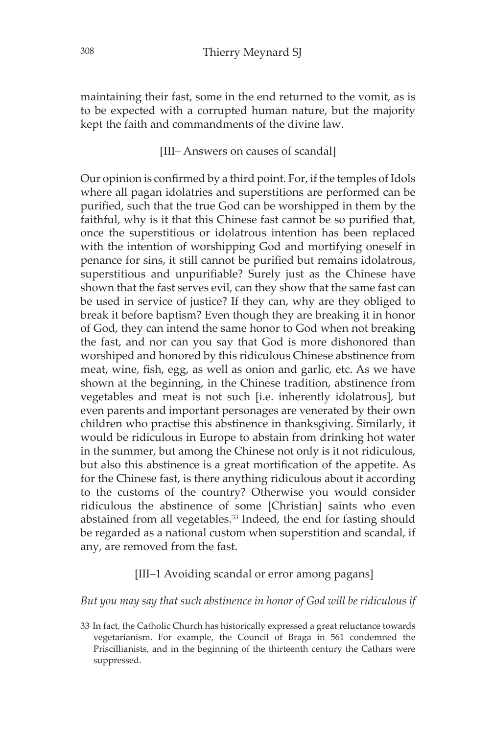maintaining their fast, some in the end returned to the vomit, as is to be expected with a corrupted human nature, but the majority kept the faith and commandments of the divine law.

[III– Answers on causes of scandal]

Our opinion is confirmed by a third point. For, if the temples of Idols where all pagan idolatries and superstitions are performed can be purified, such that the true God can be worshipped in them by the faithful, why is it that this Chinese fast cannot be so purified that, once the superstitious or idolatrous intention has been replaced with the intention of worshipping God and mortifying oneself in penance for sins, it still cannot be purified but remains idolatrous, superstitious and unpurifiable? Surely just as the Chinese have shown that the fast serves evil, can they show that the same fast can be used in service of justice? If they can, why are they obliged to break it before baptism? Even though they are breaking it in honor of God, they can intend the same honor to God when not breaking the fast, and nor can you say that God is more dishonored than worshiped and honored by this ridiculous Chinese abstinence from meat, wine, fish, egg, as well as onion and garlic, etc. As we have shown at the beginning, in the Chinese tradition, abstinence from vegetables and meat is not such [i.e. inherently idolatrous], but even parents and important personages are venerated by their own children who practise this abstinence in thanksgiving. Similarly, it would be ridiculous in Europe to abstain from drinking hot water in the summer, but among the Chinese not only is it not ridiculous, but also this abstinence is a great mortification of the appetite. As for the Chinese fast, is there anything ridiculous about it according to the customs of the country? Otherwise you would consider ridiculous the abstinence of some [Christian] saints who even abstained from all vegetables.<sup>33</sup> Indeed, the end for fasting should be regarded as a national custom when superstition and scandal, if any, are removed from the fast.

## [III–1 Avoiding scandal or error among pagans]

#### *But you may say that such abstinence in honor of God will be ridiculous if*

33 In fact, the Catholic Church has historically expressed a great reluctance towards vegetarianism. For example, the Council of Braga in 561 condemned the Priscillianists, and in the beginning of the thirteenth century the Cathars were suppressed.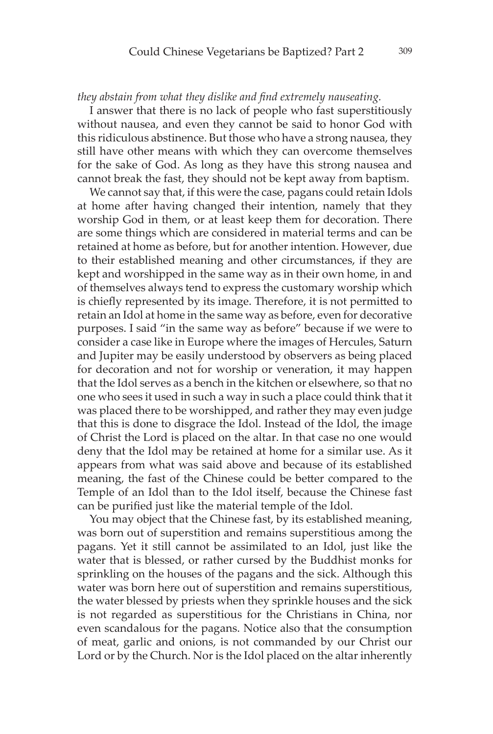#### *they abstain from what they dislike and find extremely nauseating.*

I answer that there is no lack of people who fast superstitiously without nausea, and even they cannot be said to honor God with this ridiculous abstinence. But those who have a strong nausea, they still have other means with which they can overcome themselves for the sake of God. As long as they have this strong nausea and cannot break the fast, they should not be kept away from baptism.

We cannot say that, if this were the case, pagans could retain Idols at home after having changed their intention, namely that they worship God in them, or at least keep them for decoration. There are some things which are considered in material terms and can be retained at home as before, but for another intention. However, due to their established meaning and other circumstances, if they are kept and worshipped in the same way as in their own home, in and of themselves always tend to express the customary worship which is chiefly represented by its image. Therefore, it is not permitted to retain an Idol at home in the same way as before, even for decorative purposes. I said "in the same way as before" because if we were to consider a case like in Europe where the images of Hercules, Saturn and Jupiter may be easily understood by observers as being placed for decoration and not for worship or veneration, it may happen that the Idol serves as a bench in the kitchen or elsewhere, so that no one who sees it used in such a way in such a place could think that it was placed there to be worshipped, and rather they may even judge that this is done to disgrace the Idol. Instead of the Idol, the image of Christ the Lord is placed on the altar. In that case no one would deny that the Idol may be retained at home for a similar use. As it appears from what was said above and because of its established meaning, the fast of the Chinese could be better compared to the Temple of an Idol than to the Idol itself, because the Chinese fast can be purified just like the material temple of the Idol.

You may object that the Chinese fast, by its established meaning, was born out of superstition and remains superstitious among the pagans. Yet it still cannot be assimilated to an Idol, just like the water that is blessed, or rather cursed by the Buddhist monks for sprinkling on the houses of the pagans and the sick. Although this water was born here out of superstition and remains superstitious, the water blessed by priests when they sprinkle houses and the sick is not regarded as superstitious for the Christians in China, nor even scandalous for the pagans. Notice also that the consumption of meat, garlic and onions, is not commanded by our Christ our Lord or by the Church. Nor is the Idol placed on the altar inherently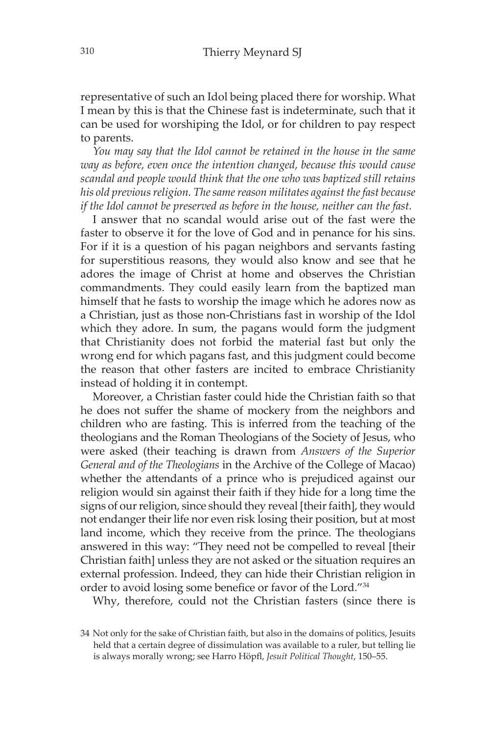representative of such an Idol being placed there for worship. What I mean by this is that the Chinese fast is indeterminate, such that it can be used for worshiping the Idol, or for children to pay respect to parents.

*You may say that the Idol cannot be retained in the house in the same way as before, even once the intention changed, because this would cause scandal and people would think that the one who was baptized still retains his old previous religion. The same reason militates against the fast because if the Idol cannot be preserved as before in the house, neither can the fast.*

I answer that no scandal would arise out of the fast were the faster to observe it for the love of God and in penance for his sins. For if it is a question of his pagan neighbors and servants fasting for superstitious reasons, they would also know and see that he adores the image of Christ at home and observes the Christian commandments. They could easily learn from the baptized man himself that he fasts to worship the image which he adores now as a Christian, just as those non-Christians fast in worship of the Idol which they adore. In sum, the pagans would form the judgment that Christianity does not forbid the material fast but only the wrong end for which pagans fast, and this judgment could become the reason that other fasters are incited to embrace Christianity instead of holding it in contempt.

Moreover, a Christian faster could hide the Christian faith so that he does not suffer the shame of mockery from the neighbors and children who are fasting. This is inferred from the teaching of the theologians and the Roman Theologians of the Society of Jesus, who were asked (their teaching is drawn from *Answers of the Superior General and of the Theologians* in the Archive of the College of Macao) whether the attendants of a prince who is prejudiced against our religion would sin against their faith if they hide for a long time the signs of our religion, since should they reveal [their faith], they would not endanger their life nor even risk losing their position, but at most land income, which they receive from the prince. The theologians answered in this way: "They need not be compelled to reveal [their Christian faith] unless they are not asked or the situation requires an external profession. Indeed, they can hide their Christian religion in order to avoid losing some benefice or favor of the Lord."<sup>34</sup>

Why, therefore, could not the Christian fasters (since there is

<sup>34</sup> Not only for the sake of Christian faith, but also in the domains of politics, Jesuits held that a certain degree of dissimulation was available to a ruler, but telling lie is always morally wrong; see Harro Höpfl, *Jesuit Political Thought*, 150–55.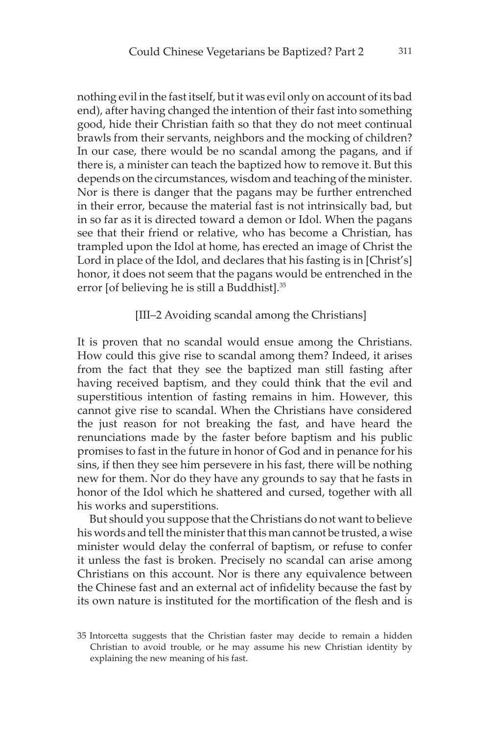nothing evil in the fast itself, but it was evil only on account of its bad end), after having changed the intention of their fast into something good, hide their Christian faith so that they do not meet continual brawls from their servants, neighbors and the mocking of children? In our case, there would be no scandal among the pagans, and if there is, a minister can teach the baptized how to remove it. But this depends on the circumstances, wisdom and teaching of the minister. Nor is there is danger that the pagans may be further entrenched in their error, because the material fast is not intrinsically bad, but in so far as it is directed toward a demon or Idol. When the pagans see that their friend or relative, who has become a Christian, has trampled upon the Idol at home, has erected an image of Christ the Lord in place of the Idol, and declares that his fasting is in [Christ's] honor, it does not seem that the pagans would be entrenched in the error [of believing he is still a Buddhist].35

#### [III–2 Avoiding scandal among the Christians]

It is proven that no scandal would ensue among the Christians. How could this give rise to scandal among them? Indeed, it arises from the fact that they see the baptized man still fasting after having received baptism, and they could think that the evil and superstitious intention of fasting remains in him. However, this cannot give rise to scandal. When the Christians have considered the just reason for not breaking the fast, and have heard the renunciations made by the faster before baptism and his public promises to fast in the future in honor of God and in penance for his sins, if then they see him persevere in his fast, there will be nothing new for them. Nor do they have any grounds to say that he fasts in honor of the Idol which he shattered and cursed, together with all his works and superstitions.

But should you suppose that the Christians do not want to believe his words and tell the minister that this man cannot be trusted, a wise minister would delay the conferral of baptism, or refuse to confer it unless the fast is broken. Precisely no scandal can arise among Christians on this account. Nor is there any equivalence between the Chinese fast and an external act of infidelity because the fast by its own nature is instituted for the mortification of the flesh and is

<sup>35</sup> Intorcetta suggests that the Christian faster may decide to remain a hidden Christian to avoid trouble, or he may assume his new Christian identity by explaining the new meaning of his fast.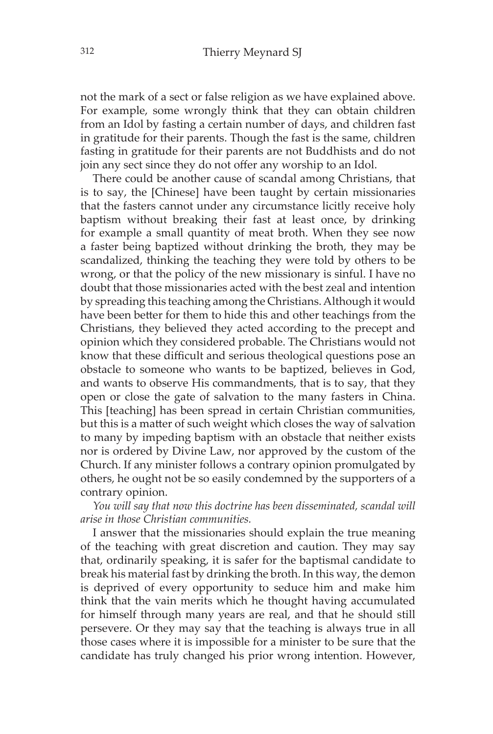not the mark of a sect or false religion as we have explained above. For example, some wrongly think that they can obtain children from an Idol by fasting a certain number of days, and children fast in gratitude for their parents. Though the fast is the same, children fasting in gratitude for their parents are not Buddhists and do not join any sect since they do not offer any worship to an Idol.

There could be another cause of scandal among Christians, that is to say, the [Chinese] have been taught by certain missionaries that the fasters cannot under any circumstance licitly receive holy baptism without breaking their fast at least once, by drinking for example a small quantity of meat broth. When they see now a faster being baptized without drinking the broth, they may be scandalized, thinking the teaching they were told by others to be wrong, or that the policy of the new missionary is sinful. I have no doubt that those missionaries acted with the best zeal and intention by spreading this teaching among the Christians. Although it would have been better for them to hide this and other teachings from the Christians, they believed they acted according to the precept and opinion which they considered probable. The Christians would not know that these difficult and serious theological questions pose an obstacle to someone who wants to be baptized, believes in God, and wants to observe His commandments, that is to say, that they open or close the gate of salvation to the many fasters in China. This [teaching] has been spread in certain Christian communities, but this is a matter of such weight which closes the way of salvation to many by impeding baptism with an obstacle that neither exists nor is ordered by Divine Law, nor approved by the custom of the Church. If any minister follows a contrary opinion promulgated by others, he ought not be so easily condemned by the supporters of a contrary opinion.

*You will say that now this doctrine has been disseminated, scandal will arise in those Christian communities.* 

I answer that the missionaries should explain the true meaning of the teaching with great discretion and caution. They may say that, ordinarily speaking, it is safer for the baptismal candidate to break his material fast by drinking the broth. In this way, the demon is deprived of every opportunity to seduce him and make him think that the vain merits which he thought having accumulated for himself through many years are real, and that he should still persevere. Or they may say that the teaching is always true in all those cases where it is impossible for a minister to be sure that the candidate has truly changed his prior wrong intention. However,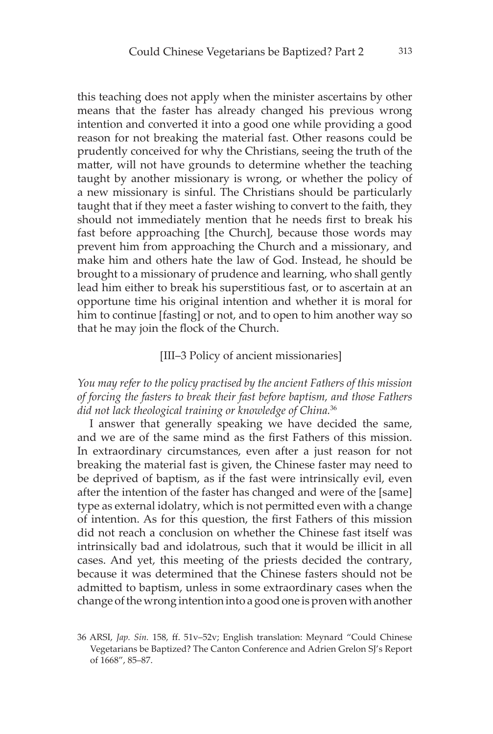this teaching does not apply when the minister ascertains by other means that the faster has already changed his previous wrong intention and converted it into a good one while providing a good reason for not breaking the material fast. Other reasons could be prudently conceived for why the Christians, seeing the truth of the matter, will not have grounds to determine whether the teaching taught by another missionary is wrong, or whether the policy of a new missionary is sinful. The Christians should be particularly taught that if they meet a faster wishing to convert to the faith, they should not immediately mention that he needs first to break his fast before approaching [the Church], because those words may prevent him from approaching the Church and a missionary, and make him and others hate the law of God. Instead, he should be brought to a missionary of prudence and learning, who shall gently lead him either to break his superstitious fast, or to ascertain at an opportune time his original intention and whether it is moral for him to continue [fasting] or not, and to open to him another way so that he may join the flock of the Church.

#### [III–3 Policy of ancient missionaries]

# *You may refer to the policy practised by the ancient Fathers of this mission of forcing the fasters to break their fast before baptism, and those Fathers did not lack theological training or knowledge of China.*<sup>36</sup>

I answer that generally speaking we have decided the same, and we are of the same mind as the first Fathers of this mission. In extraordinary circumstances, even after a just reason for not breaking the material fast is given, the Chinese faster may need to be deprived of baptism, as if the fast were intrinsically evil, even after the intention of the faster has changed and were of the [same] type as external idolatry, which is not permitted even with a change of intention. As for this question, the first Fathers of this mission did not reach a conclusion on whether the Chinese fast itself was intrinsically bad and idolatrous, such that it would be illicit in all cases. And yet, this meeting of the priests decided the contrary, because it was determined that the Chinese fasters should not be admitted to baptism, unless in some extraordinary cases when the change of the wrong intention into a good one is proven with another

<sup>36</sup> ARSI, *Jap. Sin.* 158, ff. 51v–52v; English translation: Meynard "Could Chinese Vegetarians be Baptized? The Canton Conference and Adrien Grelon SJ's Report of 1668", 85–87.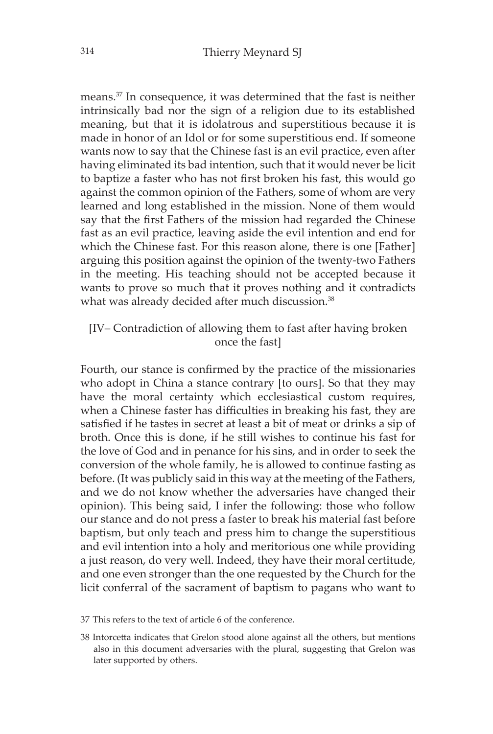means.37 In consequence, it was determined that the fast is neither intrinsically bad nor the sign of a religion due to its established meaning, but that it is idolatrous and superstitious because it is made in honor of an Idol or for some superstitious end. If someone wants now to say that the Chinese fast is an evil practice, even after having eliminated its bad intention, such that it would never be licit to baptize a faster who has not first broken his fast, this would go against the common opinion of the Fathers, some of whom are very learned and long established in the mission. None of them would say that the first Fathers of the mission had regarded the Chinese fast as an evil practice, leaving aside the evil intention and end for which the Chinese fast. For this reason alone, there is one [Father] arguing this position against the opinion of the twenty-two Fathers in the meeting. His teaching should not be accepted because it wants to prove so much that it proves nothing and it contradicts what was already decided after much discussion.<sup>38</sup>

# [IV– Contradiction of allowing them to fast after having broken once the fast]

Fourth, our stance is confirmed by the practice of the missionaries who adopt in China a stance contrary [to ours]. So that they may have the moral certainty which ecclesiastical custom requires, when a Chinese faster has difficulties in breaking his fast, they are satisfied if he tastes in secret at least a bit of meat or drinks a sip of broth. Once this is done, if he still wishes to continue his fast for the love of God and in penance for his sins, and in order to seek the conversion of the whole family, he is allowed to continue fasting as before. (It was publicly said in this way at the meeting of the Fathers, and we do not know whether the adversaries have changed their opinion). This being said, I infer the following: those who follow our stance and do not press a faster to break his material fast before baptism, but only teach and press him to change the superstitious and evil intention into a holy and meritorious one while providing a just reason, do very well. Indeed, they have their moral certitude, and one even stronger than the one requested by the Church for the licit conferral of the sacrament of baptism to pagans who want to

- 37 This refers to the text of article 6 of the conference.
- 38 Intorcetta indicates that Grelon stood alone against all the others, but mentions also in this document adversaries with the plural, suggesting that Grelon was later supported by others.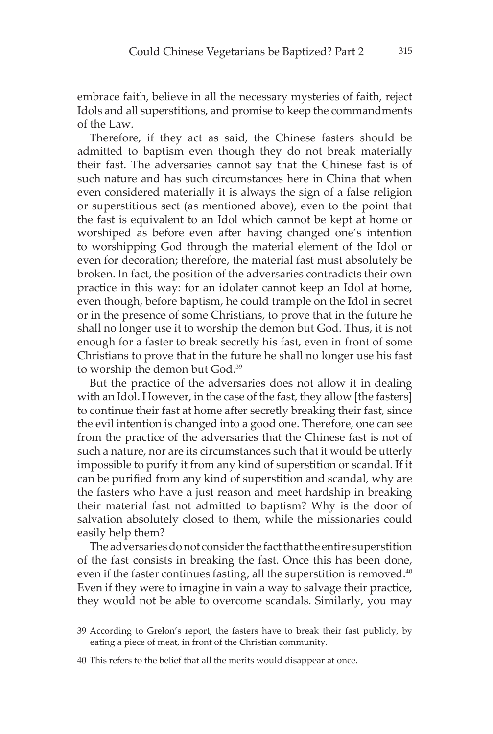embrace faith, believe in all the necessary mysteries of faith, reject Idols and all superstitions, and promise to keep the commandments of the Law.

Therefore, if they act as said, the Chinese fasters should be admitted to baptism even though they do not break materially their fast. The adversaries cannot say that the Chinese fast is of such nature and has such circumstances here in China that when even considered materially it is always the sign of a false religion or superstitious sect (as mentioned above), even to the point that the fast is equivalent to an Idol which cannot be kept at home or worshiped as before even after having changed one's intention to worshipping God through the material element of the Idol or even for decoration; therefore, the material fast must absolutely be broken. In fact, the position of the adversaries contradicts their own practice in this way: for an idolater cannot keep an Idol at home, even though, before baptism, he could trample on the Idol in secret or in the presence of some Christians, to prove that in the future he shall no longer use it to worship the demon but God. Thus, it is not enough for a faster to break secretly his fast, even in front of some Christians to prove that in the future he shall no longer use his fast to worship the demon but God.39

But the practice of the adversaries does not allow it in dealing with an Idol. However, in the case of the fast, they allow [the fasters] to continue their fast at home after secretly breaking their fast, since the evil intention is changed into a good one. Therefore, one can see from the practice of the adversaries that the Chinese fast is not of such a nature, nor are its circumstances such that it would be utterly impossible to purify it from any kind of superstition or scandal. If it can be purified from any kind of superstition and scandal, why are the fasters who have a just reason and meet hardship in breaking their material fast not admitted to baptism? Why is the door of salvation absolutely closed to them, while the missionaries could easily help them?

The adversaries do not consider the fact that the entire superstition of the fast consists in breaking the fast. Once this has been done, even if the faster continues fasting, all the superstition is removed.<sup>40</sup> Even if they were to imagine in vain a way to salvage their practice, they would not be able to overcome scandals. Similarly, you may

<sup>39</sup> According to Grelon's report, the fasters have to break their fast publicly, by eating a piece of meat, in front of the Christian community.

<sup>40</sup> This refers to the belief that all the merits would disappear at once.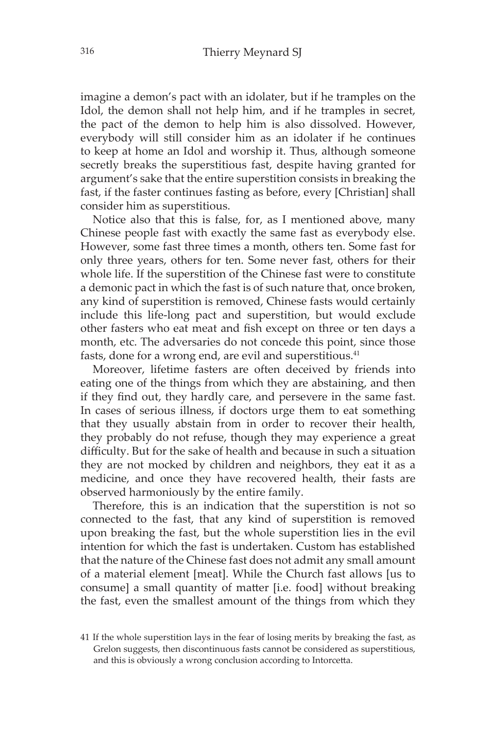imagine a demon's pact with an idolater, but if he tramples on the Idol, the demon shall not help him, and if he tramples in secret, the pact of the demon to help him is also dissolved. However, everybody will still consider him as an idolater if he continues to keep at home an Idol and worship it. Thus, although someone secretly breaks the superstitious fast, despite having granted for argument's sake that the entire superstition consists in breaking the fast, if the faster continues fasting as before, every [Christian] shall consider him as superstitious.

Notice also that this is false, for, as I mentioned above, many Chinese people fast with exactly the same fast as everybody else. However, some fast three times a month, others ten. Some fast for only three years, others for ten. Some never fast, others for their whole life. If the superstition of the Chinese fast were to constitute a demonic pact in which the fast is of such nature that, once broken, any kind of superstition is removed, Chinese fasts would certainly include this life-long pact and superstition, but would exclude other fasters who eat meat and fish except on three or ten days a month, etc. The adversaries do not concede this point, since those fasts, done for a wrong end, are evil and superstitious.<sup>41</sup>

Moreover, lifetime fasters are often deceived by friends into eating one of the things from which they are abstaining, and then if they find out, they hardly care, and persevere in the same fast. In cases of serious illness, if doctors urge them to eat something that they usually abstain from in order to recover their health, they probably do not refuse, though they may experience a great difficulty. But for the sake of health and because in such a situation they are not mocked by children and neighbors, they eat it as a medicine, and once they have recovered health, their fasts are observed harmoniously by the entire family.

Therefore, this is an indication that the superstition is not so connected to the fast, that any kind of superstition is removed upon breaking the fast, but the whole superstition lies in the evil intention for which the fast is undertaken. Custom has established that the nature of the Chinese fast does not admit any small amount of a material element [meat]. While the Church fast allows [us to consume] a small quantity of matter [i.e. food] without breaking the fast, even the smallest amount of the things from which they

<sup>41</sup> If the whole superstition lays in the fear of losing merits by breaking the fast, as Grelon suggests, then discontinuous fasts cannot be considered as superstitious, and this is obviously a wrong conclusion according to Intorcetta.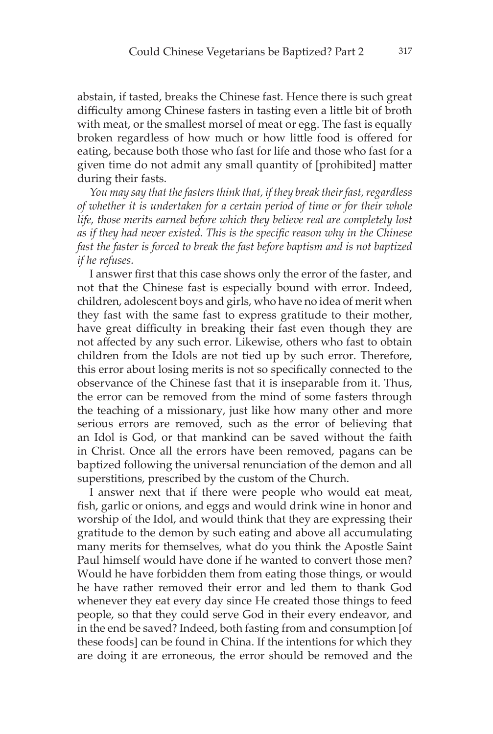abstain, if tasted, breaks the Chinese fast. Hence there is such great difficulty among Chinese fasters in tasting even a little bit of broth with meat, or the smallest morsel of meat or egg. The fast is equally broken regardless of how much or how little food is offered for eating, because both those who fast for life and those who fast for a given time do not admit any small quantity of [prohibited] matter during their fasts.

*You may say that the fasters think that, if they break their fast, regardless of whether it is undertaken for a certain period of time or for their whole life, those merits earned before which they believe real are completely lost as if they had never existed. This is the specific reason why in the Chinese fast the faster is forced to break the fast before baptism and is not baptized if he refuses.*

I answer first that this case shows only the error of the faster, and not that the Chinese fast is especially bound with error. Indeed, children, adolescent boys and girls, who have no idea of merit when they fast with the same fast to express gratitude to their mother, have great difficulty in breaking their fast even though they are not affected by any such error. Likewise, others who fast to obtain children from the Idols are not tied up by such error. Therefore, this error about losing merits is not so specifically connected to the observance of the Chinese fast that it is inseparable from it. Thus, the error can be removed from the mind of some fasters through the teaching of a missionary, just like how many other and more serious errors are removed, such as the error of believing that an Idol is God, or that mankind can be saved without the faith in Christ. Once all the errors have been removed, pagans can be baptized following the universal renunciation of the demon and all superstitions, prescribed by the custom of the Church.

I answer next that if there were people who would eat meat, fish, garlic or onions, and eggs and would drink wine in honor and worship of the Idol, and would think that they are expressing their gratitude to the demon by such eating and above all accumulating many merits for themselves, what do you think the Apostle Saint Paul himself would have done if he wanted to convert those men? Would he have forbidden them from eating those things, or would he have rather removed their error and led them to thank God whenever they eat every day since He created those things to feed people, so that they could serve God in their every endeavor, and in the end be saved? Indeed, both fasting from and consumption [of these foods] can be found in China. If the intentions for which they are doing it are erroneous, the error should be removed and the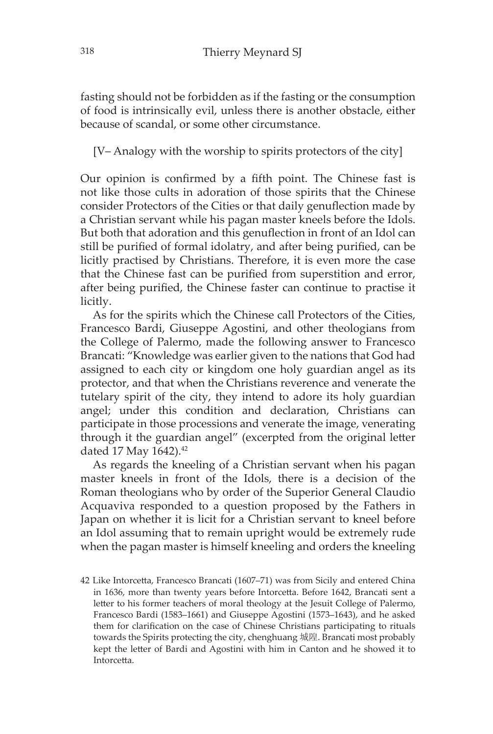fasting should not be forbidden as if the fasting or the consumption of food is intrinsically evil, unless there is another obstacle, either because of scandal, or some other circumstance.

[V– Analogy with the worship to spirits protectors of the city]

Our opinion is confirmed by a fifth point. The Chinese fast is not like those cults in adoration of those spirits that the Chinese consider Protectors of the Cities or that daily genuflection made by a Christian servant while his pagan master kneels before the Idols. But both that adoration and this genuflection in front of an Idol can still be purified of formal idolatry, and after being purified, can be licitly practised by Christians. Therefore, it is even more the case that the Chinese fast can be purified from superstition and error, after being purified, the Chinese faster can continue to practise it licitly.

As for the spirits which the Chinese call Protectors of the Cities, Francesco Bardi, Giuseppe Agostini, and other theologians from the College of Palermo, made the following answer to Francesco Brancati: "Knowledge was earlier given to the nations that God had assigned to each city or kingdom one holy guardian angel as its protector, and that when the Christians reverence and venerate the tutelary spirit of the city, they intend to adore its holy guardian angel; under this condition and declaration, Christians can participate in those processions and venerate the image, venerating through it the guardian angel" (excerpted from the original letter dated 17 May 1642).<sup>42</sup>

As regards the kneeling of a Christian servant when his pagan master kneels in front of the Idols, there is a decision of the Roman theologians who by order of the Superior General Claudio Acquaviva responded to a question proposed by the Fathers in Japan on whether it is licit for a Christian servant to kneel before an Idol assuming that to remain upright would be extremely rude when the pagan master is himself kneeling and orders the kneeling

<sup>42</sup> Like Intorcetta, Francesco Brancati (1607–71) was from Sicily and entered China in 1636, more than twenty years before Intorcetta. Before 1642, Brancati sent a letter to his former teachers of moral theology at the Jesuit College of Palermo, Francesco Bardi (1583–1661) and Giuseppe Agostini (1573–1643), and he asked them for clarification on the case of Chinese Christians participating to rituals towards the Spirits protecting the city, chenghuang 城隍. Brancati most probably kept the letter of Bardi and Agostini with him in Canton and he showed it to Intorcetta.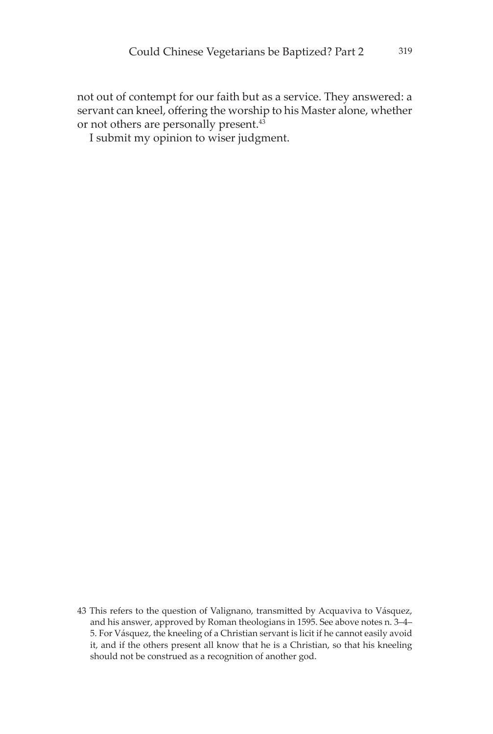not out of contempt for our faith but as a service. They answered: a servant can kneel, offering the worship to his Master alone, whether or not others are personally present.<sup>43</sup>

I submit my opinion to wiser judgment.

<sup>43</sup> This refers to the question of Valignano, transmitted by Acquaviva to Vásquez, and his answer, approved by Roman theologians in 1595. See above notes n. 3–4– 5. For Vásquez, the kneeling of a Christian servant is licit if he cannot easily avoid it, and if the others present all know that he is a Christian, so that his kneeling should not be construed as a recognition of another god.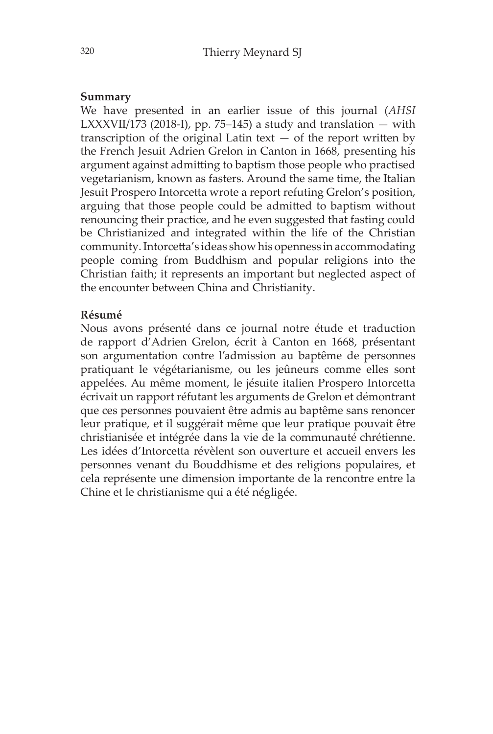#### **Summary**

We have presented in an earlier issue of this journal (*AHSI* LXXXVII/173 (2018-I), pp. 75–145) a study and translation  $-$  with transcription of the original Latin text  $-$  of the report written by the French Jesuit Adrien Grelon in Canton in 1668, presenting his argument against admitting to baptism those people who practised vegetarianism, known as fasters. Around the same time, the Italian Jesuit Prospero Intorcetta wrote a report refuting Grelon's position, arguing that those people could be admitted to baptism without renouncing their practice, and he even suggested that fasting could be Christianized and integrated within the life of the Christian community. Intorcetta's ideas show his openness in accommodating people coming from Buddhism and popular religions into the Christian faith; it represents an important but neglected aspect of the encounter between China and Christianity.

#### **Résumé**

Nous avons présenté dans ce journal notre étude et traduction de rapport d'Adrien Grelon, écrit à Canton en 1668, présentant son argumentation contre l'admission au baptême de personnes pratiquant le végétarianisme, ou les jeûneurs comme elles sont appelées. Au même moment, le jésuite italien Prospero Intorcetta écrivait un rapport réfutant les arguments de Grelon et démontrant que ces personnes pouvaient être admis au baptême sans renoncer leur pratique, et il suggérait même que leur pratique pouvait être christianisée et intégrée dans la vie de la communauté chrétienne. Les idées d'Intorcetta révèlent son ouverture et accueil envers les personnes venant du Bouddhisme et des religions populaires, et cela représente une dimension importante de la rencontre entre la Chine et le christianisme qui a été négligée.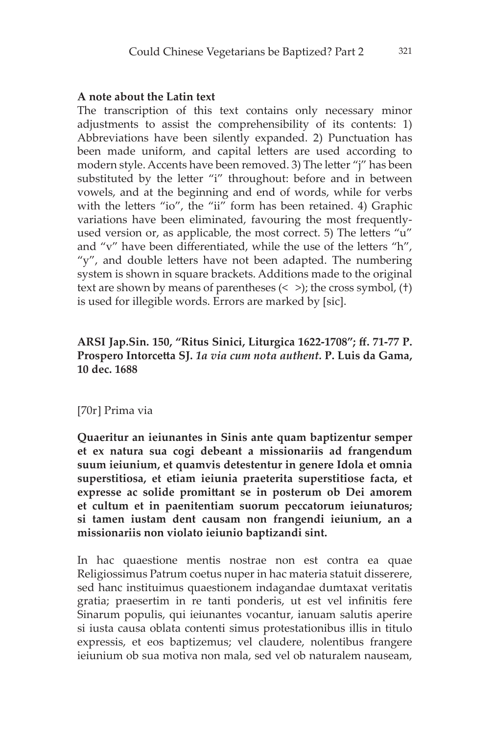# **A note about the Latin text**

The transcription of this text contains only necessary minor adjustments to assist the comprehensibility of its contents: 1) Abbreviations have been silently expanded. 2) Punctuation has been made uniform, and capital letters are used according to modern style. Accents have been removed. 3) The letter "j" has been substituted by the letter "i" throughout: before and in between vowels, and at the beginning and end of words, while for verbs with the letters "io", the "ii" form has been retained. 4) Graphic variations have been eliminated, favouring the most frequentlyused version or, as applicable, the most correct. 5) The letters "u" and "v" have been differentiated, while the use of the letters "h", "y", and double letters have not been adapted. The numbering system is shown in square brackets. Additions made to the original text are shown by means of parentheses  $\left\langle \langle \rangle \right\rangle$ ; the cross symbol,  $\left( \dagger \right)$ is used for illegible words. Errors are marked by [sic].

# **ARSI Jap.Sin. 150, "Ritus Sinici, Liturgica 1622-1708"; ff. 71-77 P. Prospero Intorcetta SJ.** *1a via cum nota authent.* **P. Luis da Gama, 10 dec. 1688**

#### [70r] Prima via

**Quaeritur an ieiunantes in Sinis ante quam baptizentur semper et ex natura sua cogi debeant a missionariis ad frangendum suum ieiunium, et quamvis detestentur in genere Idola et omnia superstitiosa, et etiam ieiunia praeterita superstitiose facta, et expresse ac solide promittant se in posterum ob Dei amorem et cultum et in paenitentiam suorum peccatorum ieiunaturos; si tamen iustam dent causam non frangendi ieiunium, an a missionariis non violato ieiunio baptizandi sint.**

In hac quaestione mentis nostrae non est contra ea quae Religiossimus Patrum coetus nuper in hac materia statuit disserere, sed hanc instituimus quaestionem indagandae dumtaxat veritatis gratia; praesertim in re tanti ponderis, ut est vel infinitis fere Sinarum populis, qui ieiunantes vocantur, ianuam salutis aperire si iusta causa oblata contenti simus protestationibus illis in titulo expressis, et eos baptizemus; vel claudere, nolentibus frangere ieiunium ob sua motiva non mala, sed vel ob naturalem nauseam,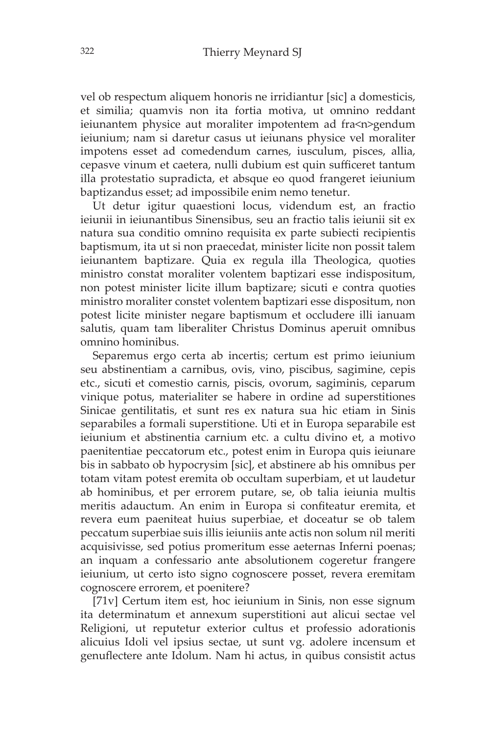vel ob respectum aliquem honoris ne irridiantur [sic] a domesticis, et similia; quamvis non ita fortia motiva, ut omnino reddant ieiunantem physice aut moraliter impotentem ad fra<n>gendum ieiunium; nam si daretur casus ut ieiunans physice vel moraliter impotens esset ad comedendum carnes, iusculum, pisces, allia, cepasve vinum et caetera, nulli dubium est quin sufficeret tantum illa protestatio supradicta, et absque eo quod frangeret ieiunium baptizandus esset; ad impossibile enim nemo tenetur.

Ut detur igitur quaestioni locus, videndum est, an fractio ieiunii in ieiunantibus Sinensibus, seu an fractio talis ieiunii sit ex natura sua conditio omnino requisita ex parte subiecti recipientis baptismum, ita ut si non praecedat, minister licite non possit talem ieiunantem baptizare. Quia ex regula illa Theologica, quoties ministro constat moraliter volentem baptizari esse indispositum, non potest minister licite illum baptizare; sicuti e contra quoties ministro moraliter constet volentem baptizari esse dispositum, non potest licite minister negare baptismum et occludere illi ianuam salutis, quam tam liberaliter Christus Dominus aperuit omnibus omnino hominibus.

Separemus ergo certa ab incertis; certum est primo ieiunium seu abstinentiam a carnibus, ovis, vino, piscibus, sagimine, cepis etc., sicuti et comestio carnis, piscis, ovorum, sagiminis, ceparum vinique potus, materialiter se habere in ordine ad superstitiones Sinicae gentilitatis, et sunt res ex natura sua hic etiam in Sinis separabiles a formali superstitione. Uti et in Europa separabile est ieiunium et abstinentia carnium etc. a cultu divino et, a motivo paenitentiae peccatorum etc., potest enim in Europa quis ieiunare bis in sabbato ob hypocrysim [sic], et abstinere ab his omnibus per totam vitam potest eremita ob occultam superbiam, et ut laudetur ab hominibus, et per errorem putare, se, ob talia ieiunia multis meritis adauctum. An enim in Europa si confiteatur eremita, et revera eum paeniteat huius superbiae, et doceatur se ob talem peccatum superbiae suis illis ieiuniis ante actis non solum nil meriti acquisivisse, sed potius promeritum esse aeternas Inferni poenas; an inquam a confessario ante absolutionem cogeretur frangere ieiunium, ut certo isto signo cognoscere posset, revera eremitam cognoscere errorem, et poenitere?

[71v] Certum item est, hoc ieiunium in Sinis, non esse signum ita determinatum et annexum superstitioni aut alicui sectae vel Religioni, ut reputetur exterior cultus et professio adorationis alicuius Idoli vel ipsius sectae, ut sunt vg. adolere incensum et genuflectere ante Idolum. Nam hi actus, in quibus consistit actus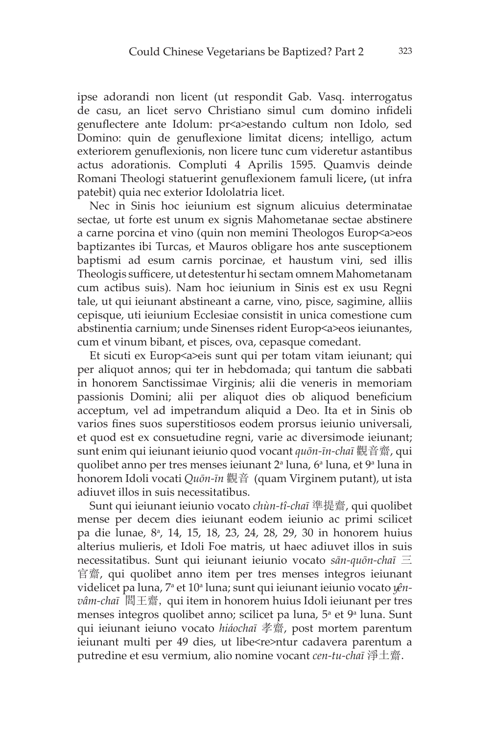ipse adorandi non licent (ut respondit Gab. Vasq. interrogatus de casu, an licet servo Christiano simul cum domino infideli genuflectere ante Idolum: pr<a>estando cultum non Idolo, sed Domino: quin de genuflexione limitat dicens; intelligo, actum exteriorem genuflexionis, non licere tunc cum videretur astantibus actus adorationis. Compluti 4 Aprilis 1595. Quamvis deinde Romani Theologi statuerint genuflexionem famuli licere**,** (ut infra patebit) quia nec exterior Idololatria licet.

Nec in Sinis hoc ieiunium est signum alicuius determinatae sectae, ut forte est unum ex signis Mahometanae sectae abstinere a carne porcina et vino (quin non memini Theologos Europ<a>eos baptizantes ibi Turcas, et Mauros obligare hos ante susceptionem baptismi ad esum carnis porcinae, et haustum vini, sed illis Theologis sufficere, ut detestentur hi sectam omnem Mahometanam cum actibus suis). Nam hoc ieiunium in Sinis est ex usu Regni tale, ut qui ieiunant abstineant a carne, vino, pisce, sagimine, alliis cepisque, uti ieiunium Ecclesiae consistit in unica comestione cum abstinentia carnium; unde Sinenses rident Europ<a>eos ieiunantes, cum et vinum bibant, et pisces, ova, cepasque comedant.

Et sicuti ex Europ<a>eis sunt qui per totam vitam ieiunant; qui per aliquot annos; qui ter in hebdomada; qui tantum die sabbati in honorem Sanctissimae Virginis; alii die veneris in memoriam passionis Domini; alii per aliquot dies ob aliquod beneficium acceptum, vel ad impetrandum aliquid a Deo. Ita et in Sinis ob varios fines suos superstitiosos eodem prorsus ieiunio universali, et quod est ex consuetudine regni, varie ac diversimode ieiunant; sunt enim qui ieiunant ieiunio quod vocant *quōn-īn-chaī* 觀音齋, qui quolibet anno per tres menses ieiunant 2ª luna, 6ª luna, et 9ª luna in honorem Idoli vocati *Quōn-īn* 觀音 (quam Virginem putant), ut ista adiuvet illos in suis necessitatibus.

Sunt qui ieiunant ieiunio vocato *chùn-tî-chaī* 準提齋, qui quolibet mense per decem dies ieiunant eodem ieiunio ac primi scilicet pa die lunae, 8a , 14, 15, 18, 23, 24, 28, 29, 30 in honorem huius alterius mulieris, et Idoli Foe matris, ut haec adiuvet illos in suis necessitatibus. Sunt qui ieiunant ieiunio vocato *sān-quōn-chaī* 三 官齋, qui quolibet anno item per tres menses integros ieiunant videlicet pa luna*,* 7ª et 10ª luna; sunt qui ieiunant ieiunio vocato *yênvâm-chaī* 閻王齋, qui item in honorem huius Idoli ieiunant per tres menses integros quolibet anno; scilicet pa luna, 5<sup>ª</sup> et 9<sup>ª</sup> luna. Sunt qui ieiunant ieiuno vocato *hiáochaī* 孝齋, post mortem parentum ieiunant multi per 49 dies, ut libe<re>ntur cadavera parentum a putredine et esu vermium, alio nomine vocant *cen-tu-chaī* 淨土齋.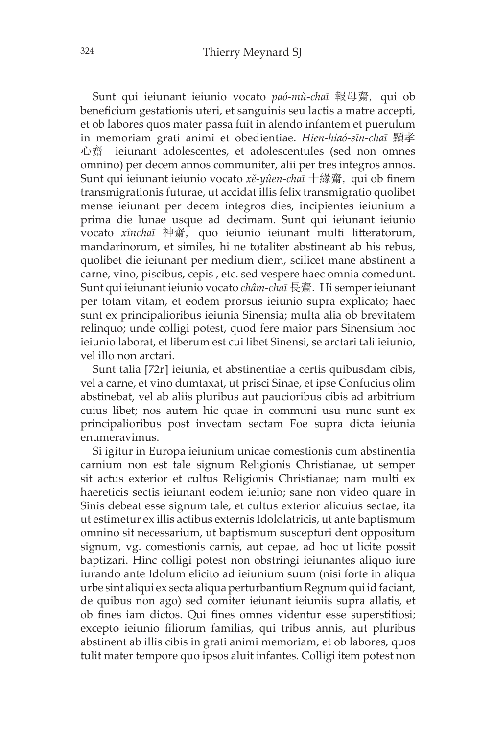Sunt qui ieiunant ieiunio vocato *paó-mù-chaī* 報母齋, qui ob beneficium gestationis uteri, et sanguinis seu lactis a matre accepti, et ob labores quos mater passa fuit in alendo infantem et puerulum in memoriam grati animi et obedientiae. *Hien-hiaó-sīn-chaī* 顯孝 心齋 ieiunant adolescentes, et adolescentules (sed non omnes omnino) per decem annos communiter, alii per tres integros annos. Sunt qui ieiunant ieiunio vocato *xě-yûen-chaī* 十緣齋, qui ob finem transmigrationis futurae, ut accidat illis felix transmigratio quolibet mense ieiunant per decem integros dies, incipientes ieiunium a prima die lunae usque ad decimam. Sunt qui ieiunant ieiunio vocato *xînchaī* 神齋, quo ieiunio ieiunant multi litteratorum, mandarinorum, et similes, hi ne totaliter abstineant ab his rebus, quolibet die ieiunant per medium diem, scilicet mane abstinent a carne, vino, piscibus, cepis , etc. sed vespere haec omnia comedunt. Sunt qui ieiunant ieiunio vocato *châm-chaī* 長齋. Hi semper ieiunant per totam vitam, et eodem prorsus ieiunio supra explicato; haec sunt ex principalioribus ieiunia Sinensia; multa alia ob brevitatem relinquo; unde colligi potest, quod fere maior pars Sinensium hoc ieiunio laborat, et liberum est cui libet Sinensi, se arctari tali ieiunio, vel illo non arctari.

Sunt talia [72r] ieiunia, et abstinentiae a certis quibusdam cibis, vel a carne, et vino dumtaxat, ut prisci Sinae, et ipse Confucius olim abstinebat, vel ab aliis pluribus aut paucioribus cibis ad arbitrium cuius libet; nos autem hic quae in communi usu nunc sunt ex principalioribus post invectam sectam Foe supra dicta ieiunia enumeravimus.

Si igitur in Europa ieiunium unicae comestionis cum abstinentia carnium non est tale signum Religionis Christianae, ut semper sit actus exterior et cultus Religionis Christianae; nam multi ex haereticis sectis ieiunant eodem ieiunio; sane non video quare in Sinis debeat esse signum tale, et cultus exterior alicuius sectae, ita ut estimetur ex illis actibus externis Idololatricis, ut ante baptismum omnino sit necessarium, ut baptismum suscepturi dent oppositum signum, vg. comestionis carnis, aut cepae, ad hoc ut licite possit baptizari. Hinc colligi potest non obstringi ieiunantes aliquo iure iurando ante Idolum elicito ad ieiunium suum (nisi forte in aliqua urbe sint aliqui ex secta aliqua perturbantium Regnum qui id faciant, de quibus non ago) sed comiter ieiunant ieiuniis supra allatis, et ob fines iam dictos. Qui fines omnes videntur esse superstitiosi; excepto ieiunio filiorum familias, qui tribus annis, aut pluribus abstinent ab illis cibis in grati animi memoriam, et ob labores, quos tulit mater tempore quo ipsos aluit infantes. Colligi item potest non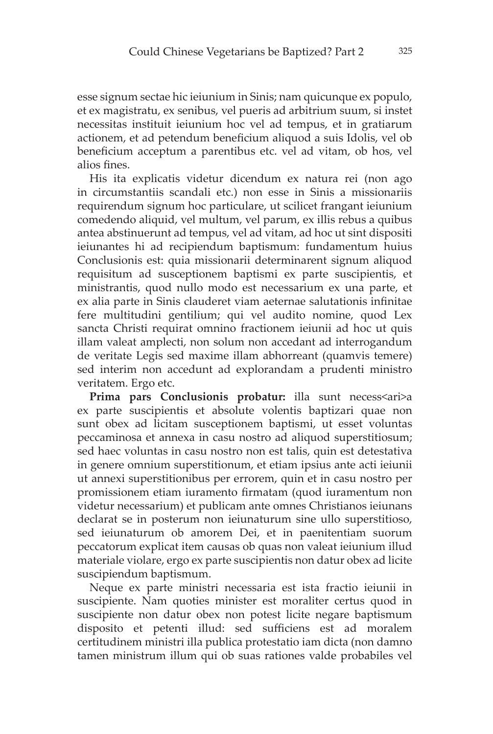esse signum sectae hic ieiunium in Sinis; nam quicunque ex populo, et ex magistratu, ex senibus, vel pueris ad arbitrium suum, si instet necessitas instituit ieiunium hoc vel ad tempus, et in gratiarum actionem, et ad petendum beneficium aliquod a suis Idolis, vel ob beneficium acceptum a parentibus etc. vel ad vitam, ob hos, vel alios fines.

His ita explicatis videtur dicendum ex natura rei (non ago in circumstantiis scandali etc.) non esse in Sinis a missionariis requirendum signum hoc particulare, ut scilicet frangant ieiunium comedendo aliquid, vel multum, vel parum, ex illis rebus a quibus antea abstinuerunt ad tempus, vel ad vitam, ad hoc ut sint dispositi ieiunantes hi ad recipiendum baptismum: fundamentum huius Conclusionis est: quia missionarii determinarent signum aliquod requisitum ad susceptionem baptismi ex parte suscipientis, et ministrantis, quod nullo modo est necessarium ex una parte, et ex alia parte in Sinis clauderet viam aeternae salutationis infinitae fere multitudini gentilium; qui vel audito nomine, quod Lex sancta Christi requirat omnino fractionem ieiunii ad hoc ut quis illam valeat amplecti, non solum non accedant ad interrogandum de veritate Legis sed maxime illam abhorreant (quamvis temere) sed interim non accedunt ad explorandam a prudenti ministro veritatem. Ergo etc.

Prima pars Conclusionis probatur: illa sunt necess<ari>a ex parte suscipientis et absolute volentis baptizari quae non sunt obex ad licitam susceptionem baptismi, ut esset voluntas peccaminosa et annexa in casu nostro ad aliquod superstitiosum; sed haec voluntas in casu nostro non est talis, quin est detestativa in genere omnium superstitionum, et etiam ipsius ante acti ieiunii ut annexi superstitionibus per errorem, quin et in casu nostro per promissionem etiam iuramento firmatam (quod iuramentum non videtur necessarium) et publicam ante omnes Christianos ieiunans declarat se in posterum non ieiunaturum sine ullo superstitioso, sed ieiunaturum ob amorem Dei, et in paenitentiam suorum peccatorum explicat item causas ob quas non valeat ieiunium illud materiale violare, ergo ex parte suscipientis non datur obex ad licite suscipiendum baptismum.

Neque ex parte ministri necessaria est ista fractio ieiunii in suscipiente. Nam quoties minister est moraliter certus quod in suscipiente non datur obex non potest licite negare baptismum disposito et petenti illud: sed sufficiens est ad moralem certitudinem ministri illa publica protestatio iam dicta (non damno tamen ministrum illum qui ob suas rationes valde probabiles vel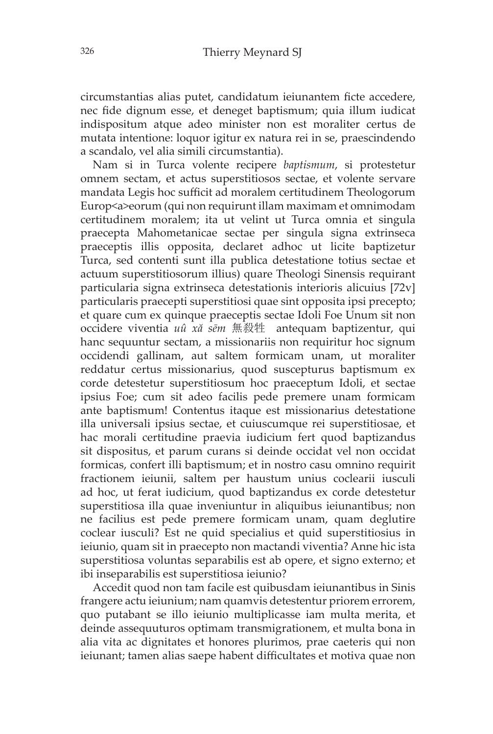circumstantias alias putet, candidatum ieiunantem ficte accedere, nec fide dignum esse, et deneget baptismum; quia illum iudicat indispositum atque adeo minister non est moraliter certus de mutata intentione: loquor igitur ex natura rei in se, praescindendo a scandalo, vel alia simili circumstantia).

Nam si in Turca volente recipere *baptismum*, si protestetur omnem sectam, et actus superstitiosos sectae, et volente servare mandata Legis hoc sufficit ad moralem certitudinem Theologorum Europ<a>eorum (qui non requirunt illam maximam et omnimodam certitudinem moralem; ita ut velint ut Turca omnia et singula praecepta Mahometanicae sectae per singula signa extrinseca praeceptis illis opposita, declaret adhoc ut licite baptizetur Turca, sed contenti sunt illa publica detestatione totius sectae et actuum superstitiosorum illius) quare Theologi Sinensis requirant particularia signa extrinseca detestationis interioris alicuius [72v] particularis praecepti superstitiosi quae sint opposita ipsi precepto; et quare cum ex quinque praeceptis sectae Idoli Foe Unum sit non occidere viventia *uû xă sēm* 無殺牲 antequam baptizentur, qui hanc sequuntur sectam, a missionariis non requiritur hoc signum occidendi gallinam, aut saltem formicam unam, ut moraliter reddatur certus missionarius, quod suscepturus baptismum ex corde detestetur superstitiosum hoc praeceptum Idoli, et sectae ipsius Foe; cum sit adeo facilis pede premere unam formicam ante baptismum! Contentus itaque est missionarius detestatione illa universali ipsius sectae, et cuiuscumque rei superstitiosae, et hac morali certitudine praevia iudicium fert quod baptizandus sit dispositus, et parum curans si deinde occidat vel non occidat formicas, confert illi baptismum; et in nostro casu omnino requirit fractionem ieiunii, saltem per haustum unius coclearii iusculi ad hoc, ut ferat iudicium, quod baptizandus ex corde detestetur superstitiosa illa quae inveniuntur in aliquibus ieiunantibus; non ne facilius est pede premere formicam unam, quam deglutire coclear iusculi? Est ne quid specialius et quid superstitiosius in ieiunio, quam sit in praecepto non mactandi viventia? Anne hic ista superstitiosa voluntas separabilis est ab opere, et signo externo; et ibi inseparabilis est superstitiosa ieiunio?

Accedit quod non tam facile est quibusdam ieiunantibus in Sinis frangere actu ieiunium; nam quamvis detestentur priorem errorem, quo putabant se illo ieiunio multiplicasse iam multa merita, et deinde assequuturos optimam transmigrationem, et multa bona in alia vita ac dignitates et honores plurimos, prae caeteris qui non ieiunant; tamen alias saepe habent difficultates et motiva quae non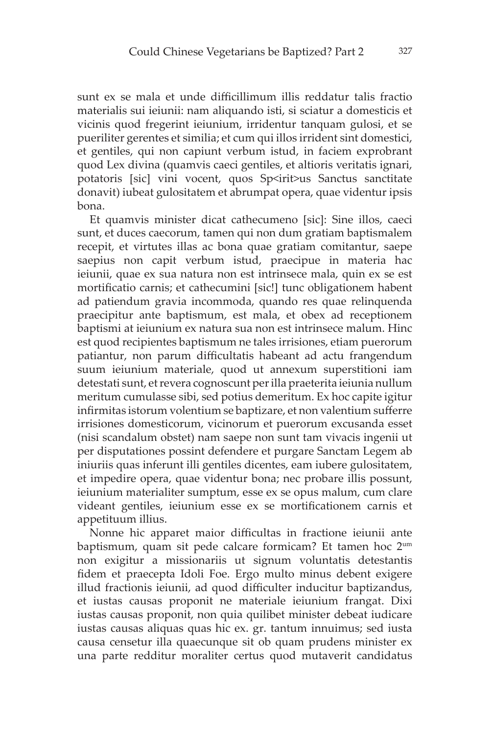sunt ex se mala et unde difficillimum illis reddatur talis fractio materialis sui ieiunii: nam aliquando isti, si sciatur a domesticis et vicinis quod fregerint ieiunium, irridentur tanquam gulosi, et se pueriliter gerentes et similia; et cum qui illos irrident sint domestici, et gentiles, qui non capiunt verbum istud, in faciem exprobrant quod Lex divina (quamvis caeci gentiles, et altioris veritatis ignari, potatoris [sic] vini vocent, quos Sp<irit>us Sanctus sanctitate donavit) iubeat gulositatem et abrumpat opera, quae videntur ipsis bona.

Et quamvis minister dicat cathecumeno [sic]: Sine illos, caeci sunt, et duces caecorum, tamen qui non dum gratiam baptismalem recepit, et virtutes illas ac bona quae gratiam comitantur, saepe saepius non capit verbum istud, praecipue in materia hac ieiunii, quae ex sua natura non est intrinsece mala, quin ex se est mortificatio carnis; et cathecumini [sic!] tunc obligationem habent ad patiendum gravia incommoda, quando res quae relinquenda praecipitur ante baptismum, est mala, et obex ad receptionem baptismi at ieiunium ex natura sua non est intrinsece malum. Hinc est quod recipientes baptismum ne tales irrisiones, etiam puerorum patiantur, non parum difficultatis habeant ad actu frangendum suum ieiunium materiale, quod ut annexum superstitioni iam detestati sunt, et revera cognoscunt per illa praeterita ieiunia nullum meritum cumulasse sibi, sed potius demeritum. Ex hoc capite igitur infirmitas istorum volentium se baptizare, et non valentium sufferre irrisiones domesticorum, vicinorum et puerorum excusanda esset (nisi scandalum obstet) nam saepe non sunt tam vivacis ingenii ut per disputationes possint defendere et purgare Sanctam Legem ab iniuriis quas inferunt illi gentiles dicentes, eam iubere gulositatem, et impedire opera, quae videntur bona; nec probare illis possunt, ieiunium materialiter sumptum, esse ex se opus malum, cum clare videant gentiles, ieiunium esse ex se mortificationem carnis et appetituum illius.

Nonne hic apparet maior difficultas in fractione ieiunii ante baptismum, quam sit pede calcare formicam? Et tamen hoc 2um non exigitur a missionariis ut signum voluntatis detestantis fidem et praecepta Idoli Foe. Ergo multo minus debent exigere illud fractionis ieiunii, ad quod difficulter inducitur baptizandus, et iustas causas proponit ne materiale ieiunium frangat. Dixi iustas causas proponit, non quia quilibet minister debeat iudicare iustas causas aliquas quas hic ex. gr. tantum innuimus; sed iusta causa censetur illa quaecunque sit ob quam prudens minister ex una parte redditur moraliter certus quod mutaverit candidatus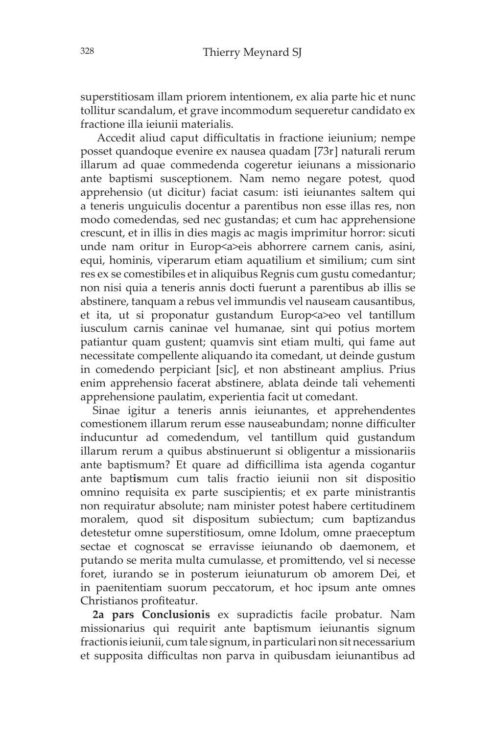superstitiosam illam priorem intentionem, ex alia parte hic et nunc tollitur scandalum, et grave incommodum sequeretur candidato ex fractione illa ieiunii materialis.

 Accedit aliud caput difficultatis in fractione ieiunium; nempe posset quandoque evenire ex nausea quadam [73r] naturali rerum illarum ad quae commedenda cogeretur ieiunans a missionario ante baptismi susceptionem. Nam nemo negare potest, quod apprehensio (ut dicitur) faciat casum: isti ieiunantes saltem qui a teneris unguiculis docentur a parentibus non esse illas res, non modo comedendas, sed nec gustandas; et cum hac apprehensione crescunt, et in illis in dies magis ac magis imprimitur horror: sicuti unde nam oritur in Europ<a>eis abhorrere carnem canis, asini, equi, hominis, viperarum etiam aquatilium et similium; cum sint res ex se comestibiles et in aliquibus Regnis cum gustu comedantur; non nisi quia a teneris annis docti fuerunt a parentibus ab illis se abstinere, tanquam a rebus vel immundis vel nauseam causantibus, et ita, ut si proponatur gustandum Europ<a>eo vel tantillum iusculum carnis caninae vel humanae, sint qui potius mortem patiantur quam gustent; quamvis sint etiam multi, qui fame aut necessitate compellente aliquando ita comedant, ut deinde gustum in comedendo perpiciant [sic], et non abstineant amplius. Prius enim apprehensio facerat abstinere, ablata deinde tali vehementi apprehensione paulatim, experientia facit ut comedant.

Sinae igitur a teneris annis ieiunantes, et apprehendentes comestionem illarum rerum esse nauseabundam; nonne difficulter inducuntur ad comedendum, vel tantillum quid gustandum illarum rerum a quibus abstinuerunt si obligentur a missionariis ante baptismum? Et quare ad difficillima ista agenda cogantur ante bapt**is**mum cum talis fractio ieiunii non sit dispositio omnino requisita ex parte suscipientis; et ex parte ministrantis non requiratur absolute; nam minister potest habere certitudinem moralem, quod sit dispositum subiectum; cum baptizandus detestetur omne superstitiosum, omne Idolum, omne praeceptum sectae et cognoscat se erravisse ieiunando ob daemonem, et putando se merita multa cumulasse, et promittendo, vel si necesse foret, iurando se in posterum ieiunaturum ob amorem Dei, et in paenitentiam suorum peccatorum, et hoc ipsum ante omnes Christianos profiteatur.

**2a pars Conclusionis** ex supradictis facile probatur. Nam missionarius qui requirit ante baptismum ieiunantis signum fractionis ieiunii, cum tale signum, in particulari non sit necessarium et supposita difficultas non parva in quibusdam ieiunantibus ad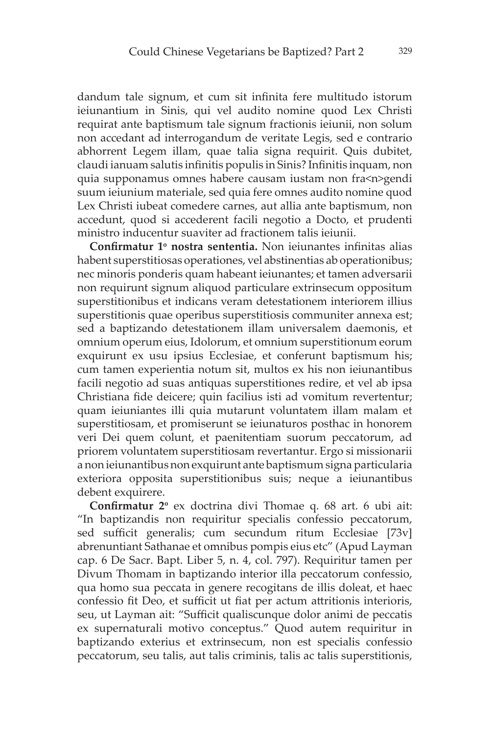dandum tale signum, et cum sit infinita fere multitudo istorum ieiunantium in Sinis, qui vel audito nomine quod Lex Christi requirat ante baptismum tale signum fractionis ieiunii, non solum non accedant ad interrogandum de veritate Legis, sed e contrario abhorrent Legem illam, quae talia signa requirit. Quis dubitet, claudi ianuam salutis infinitis populis in Sinis? Infinitis inquam, non quia supponamus omnes habere causam iustam non fra<n>gendi suum ieiunium materiale, sed quia fere omnes audito nomine quod Lex Christi iubeat comedere carnes, aut allia ante baptismum, non accedunt, quod si accederent facili negotio a Docto, et prudenti ministro inducentur suaviter ad fractionem talis ieiunii.

**Confirmatur 1<sup>o</sup> nostra sententia.** Non ieiunantes infinitas alias habent superstitiosas operationes, vel abstinentias ab operationibus; nec minoris ponderis quam habeant ieiunantes; et tamen adversarii non requirunt signum aliquod particulare extrinsecum oppositum superstitionibus et indicans veram detestationem interiorem illius superstitionis quae operibus superstitiosis communiter annexa est; sed a baptizando detestationem illam universalem daemonis, et omnium operum eius, Idolorum, et omnium superstitionum eorum exquirunt ex usu ipsius Ecclesiae, et conferunt baptismum his; cum tamen experientia notum sit, multos ex his non ieiunantibus facili negotio ad suas antiquas superstitiones redire, et vel ab ipsa Christiana fide deicere; quin facilius isti ad vomitum revertentur; quam ieiuniantes illi quia mutarunt voluntatem illam malam et superstitiosam, et promiserunt se ieiunaturos posthac in honorem veri Dei quem colunt, et paenitentiam suorum peccatorum, ad priorem voluntatem superstitiosam revertantur. Ergo si missionarii a non ieiunantibus non exquirunt ante baptismum signa particularia exteriora opposita superstitionibus suis; neque a ieiunantibus debent exquirere.

**Confirmatur** 2<sup>°</sup> ex doctrina divi Thomae q. 68 art. 6 ubi ait: "In baptizandis non requiritur specialis confessio peccatorum, sed sufficit generalis; cum secundum ritum Ecclesiae [73v] abrenuntiant Sathanae et omnibus pompis eius etc" (Apud Layman cap. 6 De Sacr. Bapt. Liber 5, n. 4, col. 797). Requiritur tamen per Divum Thomam in baptizando interior illa peccatorum confessio, qua homo sua peccata in genere recogitans de illis doleat, et haec confessio fit Deo, et sufficit ut fiat per actum attritionis interioris, seu, ut Layman ait: "Sufficit qualiscunque dolor animi de peccatis ex supernaturali motivo conceptus." Quod autem requiritur in baptizando exterius et extrinsecum, non est specialis confessio peccatorum, seu talis, aut talis criminis, talis ac talis superstitionis,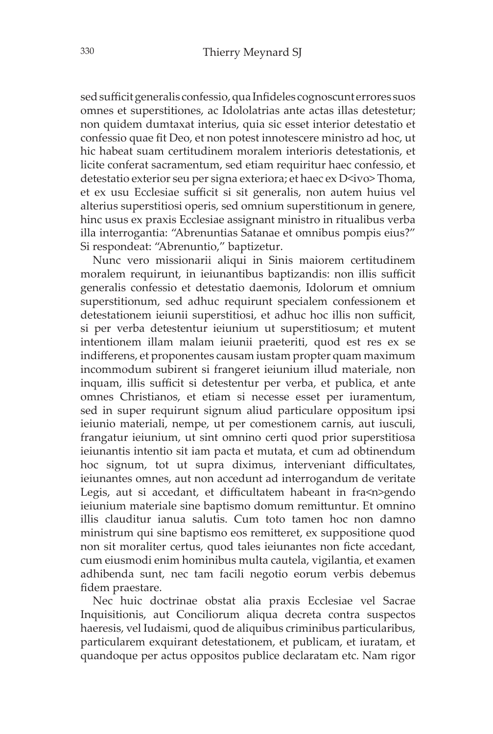sed sufficit generalis confessio, qua Infideles cognoscunt errores suos omnes et superstitiones, ac Idololatrias ante actas illas detestetur; non quidem dumtaxat interius, quia sic esset interior detestatio et confessio quae fit Deo, et non potest innotescere ministro ad hoc, ut hic habeat suam certitudinem moralem interioris detestationis, et licite conferat sacramentum, sed etiam requiritur haec confessio, et detestatio exterior seu per signa exteriora; et haec ex D<ivo>Thoma, et ex usu Ecclesiae sufficit si sit generalis, non autem huius vel alterius superstitiosi operis, sed omnium superstitionum in genere, hinc usus ex praxis Ecclesiae assignant ministro in ritualibus verba illa interrogantia: "Abrenuntias Satanae et omnibus pompis eius?" Si respondeat: "Abrenuntio," baptizetur.

Nunc vero missionarii aliqui in Sinis maiorem certitudinem moralem requirunt, in ieiunantibus baptizandis: non illis sufficit generalis confessio et detestatio daemonis, Idolorum et omnium superstitionum, sed adhuc requirunt specialem confessionem et detestationem ieiunii superstitiosi, et adhuc hoc illis non sufficit, si per verba detestentur ieiunium ut superstitiosum; et mutent intentionem illam malam ieiunii praeteriti, quod est res ex se indifferens, et proponentes causam iustam propter quam maximum incommodum subirent si frangeret ieiunium illud materiale, non inquam, illis sufficit si detestentur per verba, et publica, et ante omnes Christianos, et etiam si necesse esset per iuramentum, sed in super requirunt signum aliud particulare oppositum ipsi ieiunio materiali, nempe, ut per comestionem carnis, aut iusculi, frangatur ieiunium, ut sint omnino certi quod prior superstitiosa ieiunantis intentio sit iam pacta et mutata, et cum ad obtinendum hoc signum, tot ut supra diximus, interveniant difficultates, ieiunantes omnes, aut non accedunt ad interrogandum de veritate Legis, aut si accedant, et difficultatem habeant in fra<n>gendo ieiunium materiale sine baptismo domum remittuntur. Et omnino illis clauditur ianua salutis. Cum toto tamen hoc non damno ministrum qui sine baptismo eos remitteret, ex suppositione quod non sit moraliter certus, quod tales ieiunantes non ficte accedant, cum eiusmodi enim hominibus multa cautela, vigilantia, et examen adhibenda sunt, nec tam facili negotio eorum verbis debemus fidem praestare.

Nec huic doctrinae obstat alia praxis Ecclesiae vel Sacrae Inquisitionis, aut Conciliorum aliqua decreta contra suspectos haeresis, vel Iudaismi, quod de aliquibus criminibus particularibus, particularem exquirant detestationem, et publicam, et iuratam, et quandoque per actus oppositos publice declaratam etc. Nam rigor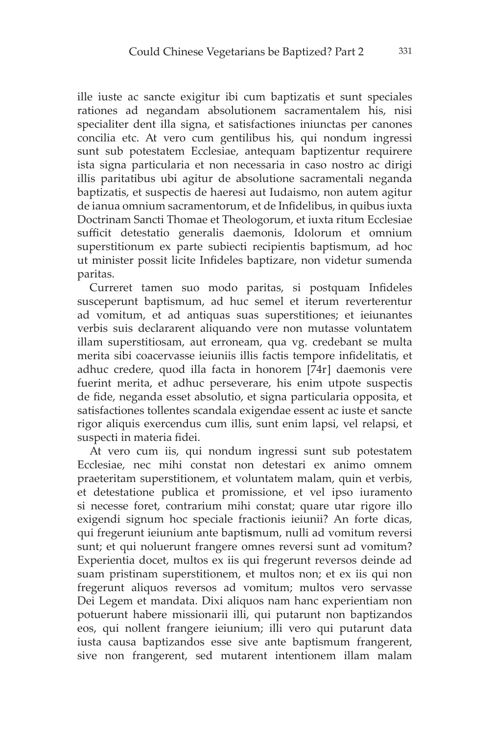ille iuste ac sancte exigitur ibi cum baptizatis et sunt speciales rationes ad negandam absolutionem sacramentalem his, nisi specialiter dent illa signa, et satisfactiones iniunctas per canones concilia etc. At vero cum gentilibus his, qui nondum ingressi sunt sub potestatem Ecclesiae, antequam baptizentur requirere ista signa particularia et non necessaria in caso nostro ac dirigi illis paritatibus ubi agitur de absolutione sacramentali neganda baptizatis, et suspectis de haeresi aut Iudaismo, non autem agitur de ianua omnium sacramentorum, et de Infidelibus, in quibus iuxta Doctrinam Sancti Thomae et Theologorum, et iuxta ritum Ecclesiae sufficit detestatio generalis daemonis, Idolorum et omnium superstitionum ex parte subiecti recipientis baptismum, ad hoc ut minister possit licite Infideles baptizare, non videtur sumenda paritas.

Curreret tamen suo modo paritas, si postquam Infideles susceperunt baptismum, ad huc semel et iterum reverterentur ad vomitum, et ad antiquas suas superstitiones; et ieiunantes verbis suis declararent aliquando vere non mutasse voluntatem illam superstitiosam, aut erroneam, qua vg. credebant se multa merita sibi coacervasse ieiuniis illis factis tempore infidelitatis, et adhuc credere, quod illa facta in honorem [74r] daemonis vere fuerint merita, et adhuc perseverare, his enim utpote suspectis de fide, neganda esset absolutio, et signa particularia opposita, et satisfactiones tollentes scandala exigendae essent ac iuste et sancte rigor aliquis exercendus cum illis, sunt enim lapsi, vel relapsi, et suspecti in materia fidei.

At vero cum iis, qui nondum ingressi sunt sub potestatem Ecclesiae, nec mihi constat non detestari ex animo omnem praeteritam superstitionem, et voluntatem malam, quin et verbis, et detestatione publica et promissione, et vel ipso iuramento si necesse foret, contrarium mihi constat; quare utar rigore illo exigendi signum hoc speciale fractionis ieiunii? An forte dicas, qui fregerunt ieiunium ante bapti**s**mum, nulli ad vomitum reversi sunt; et qui noluerunt frangere omnes reversi sunt ad vomitum? Experientia docet, multos ex iis qui fregerunt reversos deinde ad suam pristinam superstitionem, et multos non; et ex iis qui non fregerunt aliquos reversos ad vomitum; multos vero servasse Dei Legem et mandata. Dixi aliquos nam hanc experientiam non potuerunt habere missionarii illi, qui putarunt non baptizandos eos, qui nollent frangere ieiunium; illi vero qui putarunt data iusta causa baptizandos esse sive ante baptismum frangerent, sive non frangerent, sed mutarent intentionem illam malam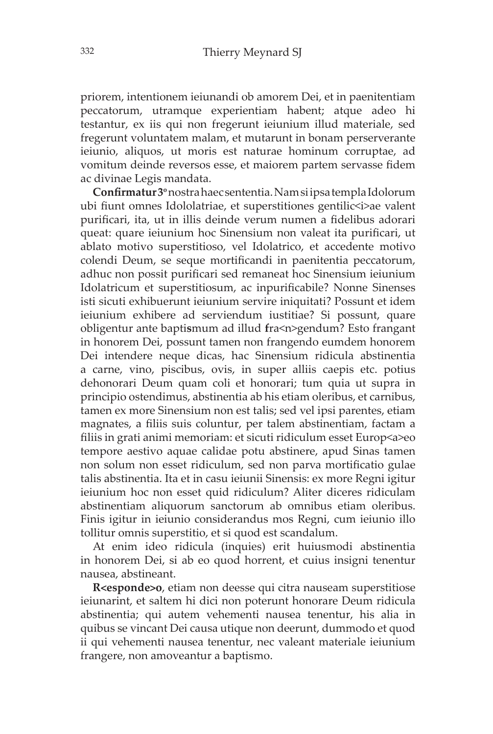priorem, intentionem ieiunandi ob amorem Dei, et in paenitentiam peccatorum, utramque experientiam habent; atque adeo hi testantur, ex iis qui non fregerunt ieiunium illud materiale, sed fregerunt voluntatem malam, et mutarunt in bonam perserverante ieiunio, aliquos, ut moris est naturae hominum corruptae, ad vomitum deinde reversos esse, et maiorem partem servasse fidem ac divinae Legis mandata.

**Confirmatur 3<sup>o</sup>** nostra haec sententia. Nam si ipsa templa Idolorum ubi fiunt omnes Idololatriae, et superstitiones gentilic $\leq$ i>ae valent purificari, ita, ut in illis deinde verum numen a fidelibus adorari queat: quare ieiunium hoc Sinensium non valeat ita purificari, ut ablato motivo superstitioso, vel Idolatrico, et accedente motivo colendi Deum, se seque mortificandi in paenitentia peccatorum, adhuc non possit purificari sed remaneat hoc Sinensium ieiunium Idolatricum et superstitiosum, ac inpurificabile? Nonne Sinenses isti sicuti exhibuerunt ieiunium servire iniquitati? Possunt et idem ieiunium exhibere ad serviendum iustitiae? Si possunt, quare obligentur ante bapti**s**mum ad illud **f**ra<n>gendum? Esto frangant in honorem Dei, possunt tamen non frangendo eumdem honorem Dei intendere neque dicas, hac Sinensium ridicula abstinentia a carne, vino, piscibus, ovis, in super alliis caepis etc. potius dehonorari Deum quam coli et honorari; tum quia ut supra in principio ostendimus, abstinentia ab his etiam oleribus, et carnibus, tamen ex more Sinensium non est talis; sed vel ipsi parentes, etiam magnates, a filiis suis coluntur, per talem abstinentiam, factam a filiis in grati animi memoriam: et sicuti ridiculum esset Europ<a>eo tempore aestivo aquae calidae potu abstinere, apud Sinas tamen non solum non esset ridiculum, sed non parva mortificatio gulae talis abstinentia. Ita et in casu ieiunii Sinensis: ex more Regni igitur ieiunium hoc non esset quid ridiculum? Aliter diceres ridiculam abstinentiam aliquorum sanctorum ab omnibus etiam oleribus. Finis igitur in ieiunio considerandus mos Regni, cum ieiunio illo tollitur omnis superstitio, et si quod est scandalum.

At enim ideo ridicula (inquies) erit huiusmodi abstinentia in honorem Dei, si ab eo quod horrent, et cuius insigni tenentur nausea, abstineant.

**R<esponde>o**, etiam non deesse qui citra nauseam superstitiose ieiunarint, et saltem hi dici non poterunt honorare Deum ridicula abstinentia; qui autem vehementi nausea tenentur, his alia in quibus se vincant Dei causa utique non deerunt, dummodo et quod ii qui vehementi nausea tenentur, nec valeant materiale ieiunium frangere, non amoveantur a baptismo.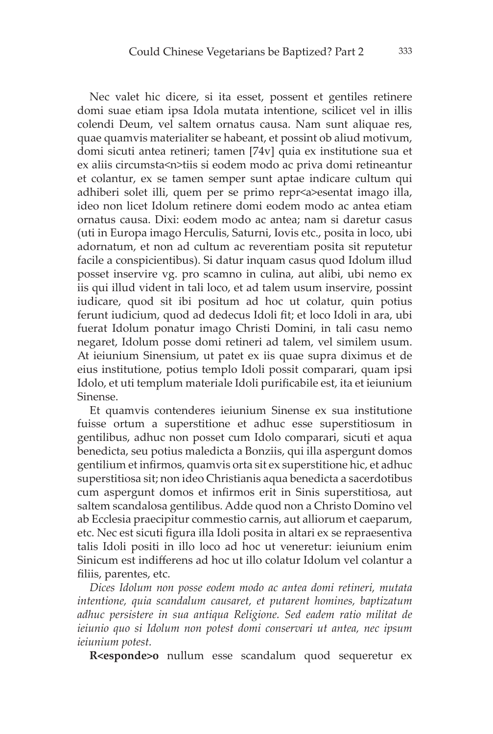Nec valet hic dicere, si ita esset, possent et gentiles retinere domi suae etiam ipsa Idola mutata intentione, scilicet vel in illis colendi Deum, vel saltem ornatus causa. Nam sunt aliquae res, quae quamvis materialiter se habeant, et possint ob aliud motivum, domi sicuti antea retineri; tamen [74v] quia ex institutione sua et ex aliis circumsta<n>tiis si eodem modo ac priva domi retineantur et colantur, ex se tamen semper sunt aptae indicare cultum qui adhiberi solet illi, quem per se primo repr<a>esentat imago illa, ideo non licet Idolum retinere domi eodem modo ac antea etiam ornatus causa. Dixi: eodem modo ac antea; nam si daretur casus (uti in Europa imago Herculis, Saturni, Iovis etc., posita in loco, ubi adornatum, et non ad cultum ac reverentiam posita sit reputetur facile a conspicientibus). Si datur inquam casus quod Idolum illud posset inservire vg. pro scamno in culina, aut alibi, ubi nemo ex iis qui illud vident in tali loco, et ad talem usum inservire, possint iudicare, quod sit ibi positum ad hoc ut colatur, quin potius ferunt iudicium, quod ad dedecus Idoli fit; et loco Idoli in ara, ubi fuerat Idolum ponatur imago Christi Domini, in tali casu nemo negaret, Idolum posse domi retineri ad talem, vel similem usum. At ieiunium Sinensium, ut patet ex iis quae supra diximus et de eius institutione, potius templo Idoli possit comparari, quam ipsi Idolo, et uti templum materiale Idoli purificabile est, ita et ieiunium Sinense.

Et quamvis contenderes ieiunium Sinense ex sua institutione fuisse ortum a superstitione et adhuc esse superstitiosum in gentilibus, adhuc non posset cum Idolo comparari, sicuti et aqua benedicta, seu potius maledicta a Bonziis, qui illa aspergunt domos gentilium et infirmos, quamvis orta sit ex superstitione hic, et adhuc superstitiosa sit; non ideo Christianis aqua benedicta a sacerdotibus cum aspergunt domos et infirmos erit in Sinis superstitiosa, aut saltem scandalosa gentilibus. Adde quod non a Christo Domino vel ab Ecclesia praecipitur commestio carnis, aut alliorum et caeparum, etc. Nec est sicuti figura illa Idoli posita in altari ex se repraesentiva talis Idoli positi in illo loco ad hoc ut veneretur: ieiunium enim Sinicum est indifferens ad hoc ut illo colatur Idolum vel colantur a filiis, parentes, etc.

*Dices Idolum non posse eodem modo ac antea domi retineri, mutata intentione, quia scandalum causaret, et putarent homines, baptizatum adhuc persistere in sua antiqua Religione. Sed eadem ratio militat de ieiunio quo si Idolum non potest domi conservari ut antea, nec ipsum ieiunium potest.*

**R<esponde>o** nullum esse scandalum quod sequeretur ex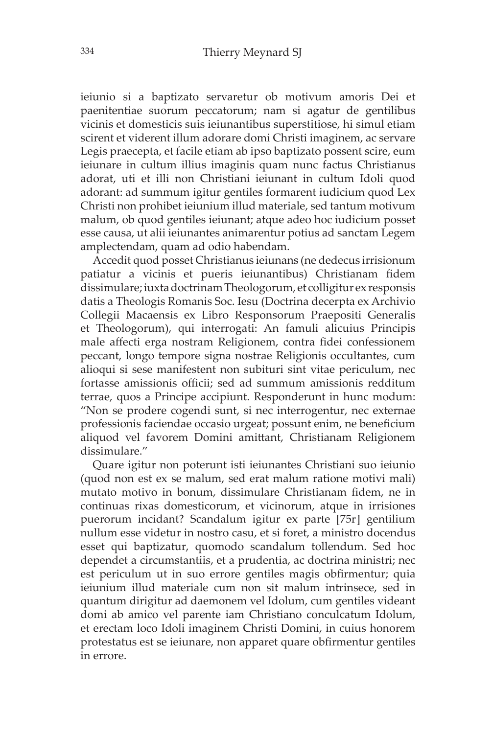ieiunio si a baptizato servaretur ob motivum amoris Dei et paenitentiae suorum peccatorum; nam si agatur de gentilibus vicinis et domesticis suis ieiunantibus superstitiose, hi simul etiam scirent et viderent illum adorare domi Christi imaginem, ac servare Legis praecepta, et facile etiam ab ipso baptizato possent scire, eum ieiunare in cultum illius imaginis quam nunc factus Christianus adorat, uti et illi non Christiani ieiunant in cultum Idoli quod adorant: ad summum igitur gentiles formarent iudicium quod Lex Christi non prohibet ieiunium illud materiale, sed tantum motivum malum, ob quod gentiles ieiunant; atque adeo hoc iudicium posset esse causa, ut alii ieiunantes animarentur potius ad sanctam Legem amplectendam, quam ad odio habendam.

Accedit quod posset Christianus ieiunans (ne dedecus irrisionum patiatur a vicinis et pueris ieiunantibus) Christianam fidem dissimulare; iuxta doctrinam Theologorum, et colligitur ex responsis datis a Theologis Romanis Soc. Iesu (Doctrina decerpta ex Archivio Collegii Macaensis ex Libro Responsorum Praepositi Generalis et Theologorum), qui interrogati: An famuli alicuius Principis male affecti erga nostram Religionem, contra fidei confessionem peccant, longo tempore signa nostrae Religionis occultantes, cum alioqui si sese manifestent non subituri sint vitae periculum, nec fortasse amissionis officii; sed ad summum amissionis redditum terrae, quos a Principe accipiunt. Responderunt in hunc modum: "Non se prodere cogendi sunt, si nec interrogentur, nec externae professionis faciendae occasio urgeat; possunt enim, ne beneficium aliquod vel favorem Domini amittant, Christianam Religionem dissimulare."

Quare igitur non poterunt isti ieiunantes Christiani suo ieiunio (quod non est ex se malum, sed erat malum ratione motivi mali) mutato motivo in bonum, dissimulare Christianam fidem, ne in continuas rixas domesticorum, et vicinorum, atque in irrisiones puerorum incidant? Scandalum igitur ex parte [75r] gentilium nullum esse videtur in nostro casu, et si foret, a ministro docendus esset qui baptizatur, quomodo scandalum tollendum. Sed hoc dependet a circumstantiis, et a prudentia, ac doctrina ministri; nec est periculum ut in suo errore gentiles magis obfirmentur; quia ieiunium illud materiale cum non sit malum intrinsece, sed in quantum dirigitur ad daemonem vel Idolum, cum gentiles videant domi ab amico vel parente iam Christiano conculcatum Idolum, et erectam loco Idoli imaginem Christi Domini, in cuius honorem protestatus est se ieiunare, non apparet quare obfirmentur gentiles in errore.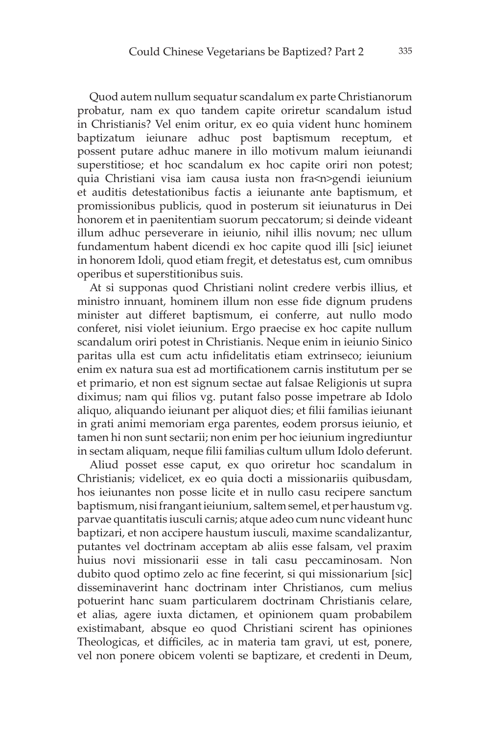Quod autem nullum sequatur scandalum ex parte Christianorum probatur, nam ex quo tandem capite oriretur scandalum istud in Christianis? Vel enim oritur, ex eo quia vident hunc hominem baptizatum ieiunare adhuc post baptismum receptum, et possent putare adhuc manere in illo motivum malum ieiunandi superstitiose; et hoc scandalum ex hoc capite oriri non potest; quia Christiani visa iam causa iusta non fra<n>gendi ieiunium et auditis detestationibus factis a ieiunante ante baptismum, et promissionibus publicis, quod in posterum sit ieiunaturus in Dei honorem et in paenitentiam suorum peccatorum; si deinde videant illum adhuc perseverare in ieiunio, nihil illis novum; nec ullum fundamentum habent dicendi ex hoc capite quod illi [sic] ieiunet in honorem Idoli, quod etiam fregit, et detestatus est, cum omnibus operibus et superstitionibus suis.

At si supponas quod Christiani nolint credere verbis illius, et ministro innuant, hominem illum non esse fide dignum prudens minister aut differet baptismum, ei conferre, aut nullo modo conferet, nisi violet ieiunium. Ergo praecise ex hoc capite nullum scandalum oriri potest in Christianis. Neque enim in ieiunio Sinico paritas ulla est cum actu infidelitatis etiam extrinseco; ieiunium enim ex natura sua est ad mortificationem carnis institutum per se et primario, et non est signum sectae aut falsae Religionis ut supra diximus; nam qui filios vg. putant falso posse impetrare ab Idolo aliquo, aliquando ieiunant per aliquot dies; et filii familias ieiunant in grati animi memoriam erga parentes, eodem prorsus ieiunio, et tamen hi non sunt sectarii; non enim per hoc ieiunium ingrediuntur in sectam aliquam, neque filii familias cultum ullum Idolo deferunt.

Aliud posset esse caput, ex quo oriretur hoc scandalum in Christianis; videlicet, ex eo quia docti a missionariis quibusdam, hos ieiunantes non posse licite et in nullo casu recipere sanctum baptismum, nisi frangant ieiunium, saltem semel, et per haustum vg. parvae quantitatis iusculi carnis; atque adeo cum nunc videant hunc baptizari, et non accipere haustum iusculi, maxime scandalizantur, putantes vel doctrinam acceptam ab aliis esse falsam, vel praxim huius novi missionarii esse in tali casu peccaminosam. Non dubito quod optimo zelo ac fine fecerint, si qui missionarium [sic] disseminaverint hanc doctrinam inter Christianos, cum melius potuerint hanc suam particularem doctrinam Christianis celare, et alias, agere iuxta dictamen, et opinionem quam probabilem existimabant, absque eo quod Christiani scirent has opiniones Theologicas, et difficiles, ac in materia tam gravi, ut est, ponere, vel non ponere obicem volenti se baptizare, et credenti in Deum,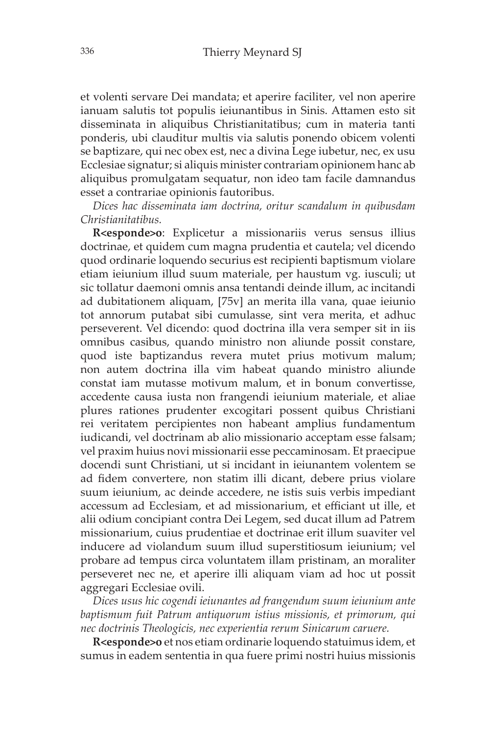et volenti servare Dei mandata; et aperire faciliter, vel non aperire ianuam salutis tot populis ieiunantibus in Sinis. Attamen esto sit disseminata in aliquibus Christianitatibus; cum in materia tanti ponderis, ubi clauditur multis via salutis ponendo obicem volenti se baptizare, qui nec obex est, nec a divina Lege iubetur, nec, ex usu Ecclesiae signatur; si aliquis minister contrariam opinionem hanc ab aliquibus promulgatam sequatur, non ideo tam facile damnandus esset a contrariae opinionis fautoribus.

*Dices hac disseminata iam doctrina, oritur scandalum in quibusdam Christianitatibus.*

**R<esponde>o**: Explicetur a missionariis verus sensus illius doctrinae, et quidem cum magna prudentia et cautela; vel dicendo quod ordinarie loquendo securius est recipienti baptismum violare etiam ieiunium illud suum materiale, per haustum vg. iusculi; ut sic tollatur daemoni omnis ansa tentandi deinde illum, ac incitandi ad dubitationem aliquam, [75v] an merita illa vana, quae ieiunio tot annorum putabat sibi cumulasse, sint vera merita, et adhuc perseverent. Vel dicendo: quod doctrina illa vera semper sit in iis omnibus casibus, quando ministro non aliunde possit constare, quod iste baptizandus revera mutet prius motivum malum; non autem doctrina illa vim habeat quando ministro aliunde constat iam mutasse motivum malum, et in bonum convertisse, accedente causa iusta non frangendi ieiunium materiale, et aliae plures rationes prudenter excogitari possent quibus Christiani rei veritatem percipientes non habeant amplius fundamentum iudicandi, vel doctrinam ab alio missionario acceptam esse falsam; vel praxim huius novi missionarii esse peccaminosam. Et praecipue docendi sunt Christiani, ut si incidant in ieiunantem volentem se ad fidem convertere, non statim illi dicant, debere prius violare suum ieiunium, ac deinde accedere, ne istis suis verbis impediant accessum ad Ecclesiam, et ad missionarium, et efficiant ut ille, et alii odium concipiant contra Dei Legem, sed ducat illum ad Patrem missionarium, cuius prudentiae et doctrinae erit illum suaviter vel inducere ad violandum suum illud superstitiosum ieiunium; vel probare ad tempus circa voluntatem illam pristinam, an moraliter perseveret nec ne, et aperire illi aliquam viam ad hoc ut possit aggregari Ecclesiae ovili.

*Dices usus hic cogendi ieiunantes ad frangendum suum ieiunium ante baptismum fuit Patrum antiquorum istius missionis, et primorum, qui nec doctrinis Theologicis, nec experientia rerum Sinicarum caruere.*

**R<esponde>o** et nos etiam ordinarie loquendo statuimus idem, et sumus in eadem sententia in qua fuere primi nostri huius missionis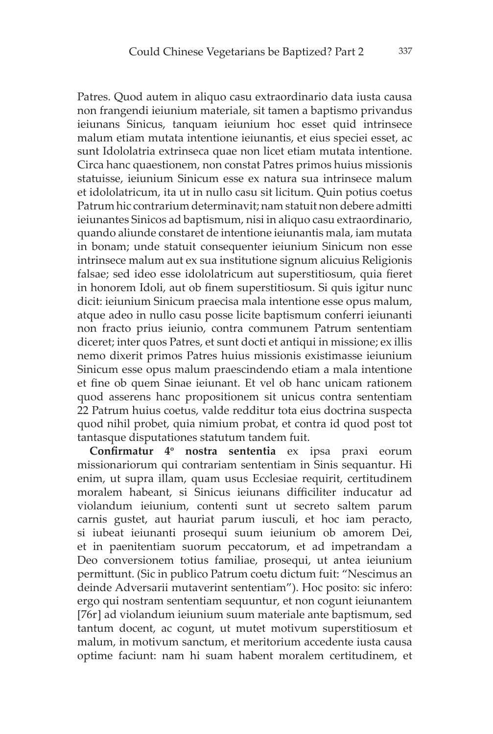Patres. Quod autem in aliquo casu extraordinario data iusta causa non frangendi ieiunium materiale, sit tamen a baptismo privandus ieiunans Sinicus, tanquam ieiunium hoc esset quid intrinsece malum etiam mutata intentione ieiunantis, et eius speciei esset, ac sunt Idololatria extrinseca quae non licet etiam mutata intentione. Circa hanc quaestionem, non constat Patres primos huius missionis statuisse, ieiunium Sinicum esse ex natura sua intrinsece malum et idololatricum, ita ut in nullo casu sit licitum. Quin potius coetus Patrum hic contrarium determinavit; nam statuit non debere admitti ieiunantes Sinicos ad baptismum, nisi in aliquo casu extraordinario, quando aliunde constaret de intentione ieiunantis mala, iam mutata in bonam; unde statuit consequenter ieiunium Sinicum non esse intrinsece malum aut ex sua institutione signum alicuius Religionis falsae; sed ideo esse idololatricum aut superstitiosum, quia fieret in honorem Idoli, aut ob finem superstitiosum. Si quis igitur nunc dicit: ieiunium Sinicum praecisa mala intentione esse opus malum, atque adeo in nullo casu posse licite baptismum conferri ieiunanti non fracto prius ieiunio, contra communem Patrum sententiam diceret; inter quos Patres, et sunt docti et antiqui in missione; ex illis nemo dixerit primos Patres huius missionis existimasse ieiunium Sinicum esse opus malum praescindendo etiam a mala intentione et fine ob quem Sinae ieiunant. Et vel ob hanc unicam rationem quod asserens hanc propositionem sit unicus contra sententiam 22 Patrum huius coetus, valde redditur tota eius doctrina suspecta quod nihil probet, quia nimium probat, et contra id quod post tot tantasque disputationes statutum tandem fuit.

**Confirmatur 4<sup>o</sup> nostra sententia** ex ipsa praxi eorum missionariorum qui contrariam sententiam in Sinis sequantur. Hi enim, ut supra illam, quam usus Ecclesiae requirit, certitudinem moralem habeant, si Sinicus ieiunans difficiliter inducatur ad violandum ieiunium, contenti sunt ut secreto saltem parum carnis gustet, aut hauriat parum iusculi, et hoc iam peracto, si iubeat ieiunanti prosequi suum ieiunium ob amorem Dei, et in paenitentiam suorum peccatorum, et ad impetrandam a Deo conversionem totius familiae, prosequi, ut antea ieiunium permittunt. (Sic in publico Patrum coetu dictum fuit: "Nescimus an deinde Adversarii mutaverint sententiam"). Hoc posito: sic infero: ergo qui nostram sententiam sequuntur, et non cogunt ieiunantem [76r] ad violandum ieiunium suum materiale ante baptismum, sed tantum docent, ac cogunt, ut mutet motivum superstitiosum et malum, in motivum sanctum, et meritorium accedente iusta causa optime faciunt: nam hi suam habent moralem certitudinem, et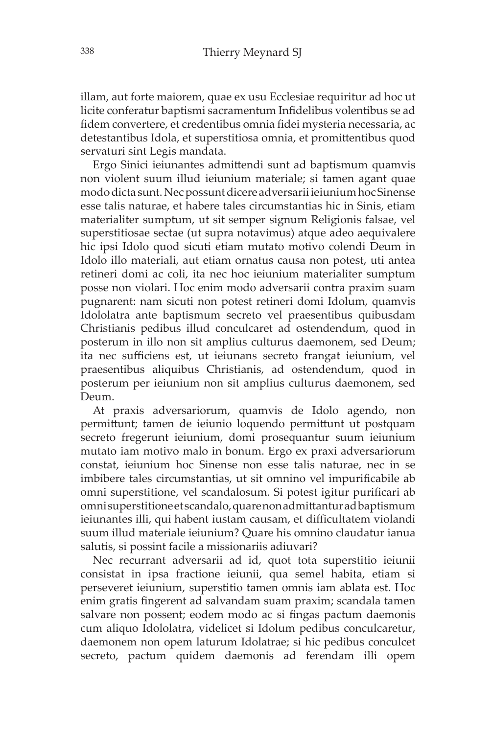illam, aut forte maiorem, quae ex usu Ecclesiae requiritur ad hoc ut licite conferatur baptismi sacramentum Infidelibus volentibus se ad fidem convertere, et credentibus omnia fidei mysteria necessaria, ac detestantibus Idola, et superstitiosa omnia, et promittentibus quod servaturi sint Legis mandata.

Ergo Sinici ieiunantes admittendi sunt ad baptismum quamvis non violent suum illud ieiunium materiale; si tamen agant quae modo dicta sunt. Nec possunt dicere adversarii ieiunium hoc Sinense esse talis naturae, et habere tales circumstantias hic in Sinis, etiam materialiter sumptum, ut sit semper signum Religionis falsae, vel superstitiosae sectae (ut supra notavimus) atque adeo aequivalere hic ipsi Idolo quod sicuti etiam mutato motivo colendi Deum in Idolo illo materiali, aut etiam ornatus causa non potest, uti antea retineri domi ac coli, ita nec hoc ieiunium materialiter sumptum posse non violari. Hoc enim modo adversarii contra praxim suam pugnarent: nam sicuti non potest retineri domi Idolum, quamvis Idololatra ante baptismum secreto vel praesentibus quibusdam Christianis pedibus illud conculcaret ad ostendendum, quod in posterum in illo non sit amplius culturus daemonem, sed Deum; ita nec sufficiens est, ut ieiunans secreto frangat ieiunium, vel praesentibus aliquibus Christianis, ad ostendendum, quod in posterum per ieiunium non sit amplius culturus daemonem, sed Deum.

At praxis adversariorum, quamvis de Idolo agendo, non permittunt; tamen de ieiunio loquendo permittunt ut postquam secreto fregerunt ieiunium, domi prosequantur suum ieiunium mutato iam motivo malo in bonum. Ergo ex praxi adversariorum constat, ieiunium hoc Sinense non esse talis naturae, nec in se imbibere tales circumstantias, ut sit omnino vel impurificabile ab omni superstitione, vel scandalosum. Si potest igitur purificari ab omni superstitione et scandalo, quare non admittantur ad baptismum ieiunantes illi, qui habent iustam causam, et difficultatem violandi suum illud materiale ieiunium? Quare his omnino claudatur ianua salutis, si possint facile a missionariis adiuvari?

Nec recurrant adversarii ad id, quot tota superstitio ieiunii consistat in ipsa fractione ieiunii, qua semel habita, etiam si perseveret ieiunium, superstitio tamen omnis iam ablata est. Hoc enim gratis fingerent ad salvandam suam praxim; scandala tamen salvare non possent; eodem modo ac si fingas pactum daemonis cum aliquo Idololatra, videlicet si Idolum pedibus conculcaretur, daemonem non opem laturum Idolatrae; si hic pedibus conculcet secreto, pactum quidem daemonis ad ferendam illi opem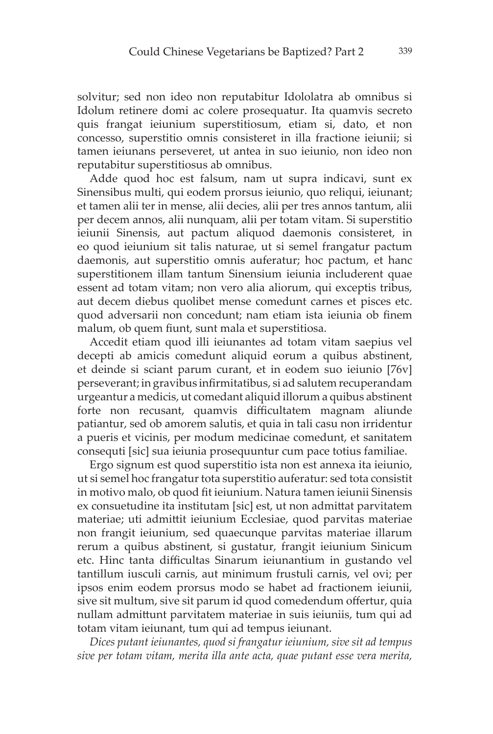solvitur; sed non ideo non reputabitur Idololatra ab omnibus si Idolum retinere domi ac colere prosequatur. Ita quamvis secreto quis frangat ieiunium superstitiosum, etiam si, dato, et non concesso, superstitio omnis consisteret in illa fractione ieiunii; si tamen ieiunans perseveret, ut antea in suo ieiunio, non ideo non reputabitur superstitiosus ab omnibus.

Adde quod hoc est falsum, nam ut supra indicavi, sunt ex Sinensibus multi, qui eodem prorsus ieiunio, quo reliqui, ieiunant; et tamen alii ter in mense, alii decies, alii per tres annos tantum, alii per decem annos, alii nunquam, alii per totam vitam. Si superstitio ieiunii Sinensis, aut pactum aliquod daemonis consisteret, in eo quod ieiunium sit talis naturae, ut si semel frangatur pactum daemonis, aut superstitio omnis auferatur; hoc pactum, et hanc superstitionem illam tantum Sinensium ieiunia includerent quae essent ad totam vitam; non vero alia aliorum, qui exceptis tribus, aut decem diebus quolibet mense comedunt carnes et pisces etc. quod adversarii non concedunt; nam etiam ista ieiunia ob finem malum, ob quem fiunt, sunt mala et superstitiosa.

Accedit etiam quod illi ieiunantes ad totam vitam saepius vel decepti ab amicis comedunt aliquid eorum a quibus abstinent, et deinde si sciant parum curant, et in eodem suo ieiunio [76v] perseverant; in gravibus infirmitatibus, si ad salutem recuperandam urgeantur a medicis, ut comedant aliquid illorum a quibus abstinent forte non recusant, quamvis difficultatem magnam aliunde patiantur, sed ob amorem salutis, et quia in tali casu non irridentur a pueris et vicinis, per modum medicinae comedunt, et sanitatem consequti [sic] sua ieiunia prosequuntur cum pace totius familiae.

Ergo signum est quod superstitio ista non est annexa ita ieiunio, ut si semel hoc frangatur tota superstitio auferatur: sed tota consistit in motivo malo, ob quod fit ieiunium. Natura tamen ieiunii Sinensis ex consuetudine ita institutam [sic] est, ut non admittat parvitatem materiae; uti admittit ieiunium Ecclesiae, quod parvitas materiae non frangit ieiunium, sed quaecunque parvitas materiae illarum rerum a quibus abstinent, si gustatur, frangit ieiunium Sinicum etc. Hinc tanta difficultas Sinarum ieiunantium in gustando vel tantillum iusculi carnis, aut minimum frustuli carnis, vel ovi; per ipsos enim eodem prorsus modo se habet ad fractionem ieiunii, sive sit multum, sive sit parum id quod comedendum offertur, quia nullam admittunt parvitatem materiae in suis ieiuniis, tum qui ad totam vitam ieiunant, tum qui ad tempus ieiunant.

*Dices putant ieiunantes, quod si frangatur ieiunium, sive sit ad tempus sive per totam vitam, merita illa ante acta, quae putant esse vera merita,*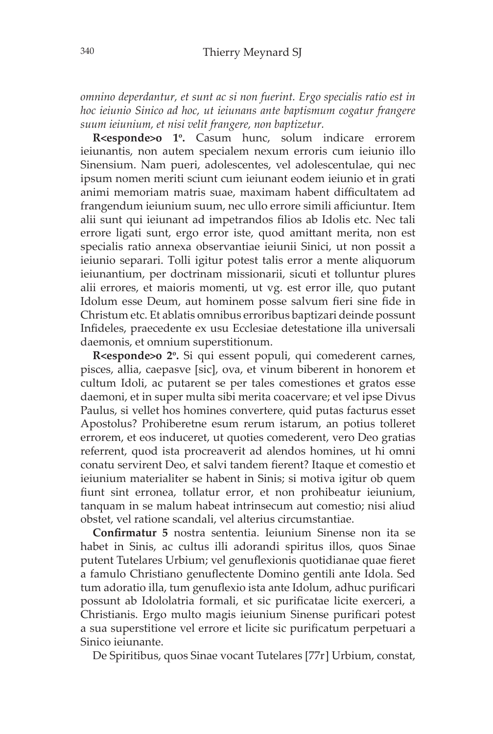*omnino deperdantur, et sunt ac si non fuerint. Ergo specialis ratio est in hoc ieiunio Sinico ad hoc, ut ieiunans ante baptismum cogatur frangere suum ieiunium, et nisi velit frangere, non baptizetur.*

R<esponde>o 1º. Casum hunc, solum indicare errorem ieiunantis, non autem specialem nexum erroris cum ieiunio illo Sinensium. Nam pueri, adolescentes, vel adolescentulae, qui nec ipsum nomen meriti sciunt cum ieiunant eodem ieiunio et in grati animi memoriam matris suae, maximam habent difficultatem ad frangendum ieiunium suum, nec ullo errore simili afficiuntur. Item alii sunt qui ieiunant ad impetrandos filios ab Idolis etc. Nec tali errore ligati sunt, ergo error iste, quod amittant merita, non est specialis ratio annexa observantiae ieiunii Sinici, ut non possit a ieiunio separari. Tolli igitur potest talis error a mente aliquorum ieiunantium, per doctrinam missionarii, sicuti et tolluntur plures alii errores, et maioris momenti, ut vg. est error ille, quo putant Idolum esse Deum, aut hominem posse salvum fieri sine fide in Christum etc. Et ablatis omnibus erroribus baptizari deinde possunt Infideles, praecedente ex usu Ecclesiae detestatione illa universali daemonis, et omnium superstitionum.

R<esponde>o 2°. Si qui essent populi, qui comederent carnes, pisces, allia, caepasve [sic], ova, et vinum biberent in honorem et cultum Idoli, ac putarent se per tales comestiones et gratos esse daemoni, et in super multa sibi merita coacervare; et vel ipse Divus Paulus, si vellet hos homines convertere, quid putas facturus esset Apostolus? Prohiberetne esum rerum istarum, an potius tolleret errorem, et eos induceret, ut quoties comederent, vero Deo gratias referrent, quod ista procreaverit ad alendos homines, ut hi omni conatu servirent Deo, et salvi tandem fierent? Itaque et comestio et ieiunium materialiter se habent in Sinis; si motiva igitur ob quem fiunt sint erronea, tollatur error, et non prohibeatur ieiunium, tanquam in se malum habeat intrinsecum aut comestio; nisi aliud obstet, vel ratione scandali, vel alterius circumstantiae.

**Confirmatur 5** nostra sententia. Ieiunium Sinense non ita se habet in Sinis, ac cultus illi adorandi spiritus illos, quos Sinae putent Tutelares Urbium; vel genuflexionis quotidianae quae fieret a famulo Christiano genuflectente Domino gentili ante Idola. Sed tum adoratio illa, tum genuflexio ista ante Idolum, adhuc purificari possunt ab Idololatria formali, et sic purificatae licite exerceri, a Christianis. Ergo multo magis ieiunium Sinense purificari potest a sua superstitione vel errore et licite sic purificatum perpetuari a Sinico ieiunante.

De Spiritibus, quos Sinae vocant Tutelares [77r] Urbium, constat,